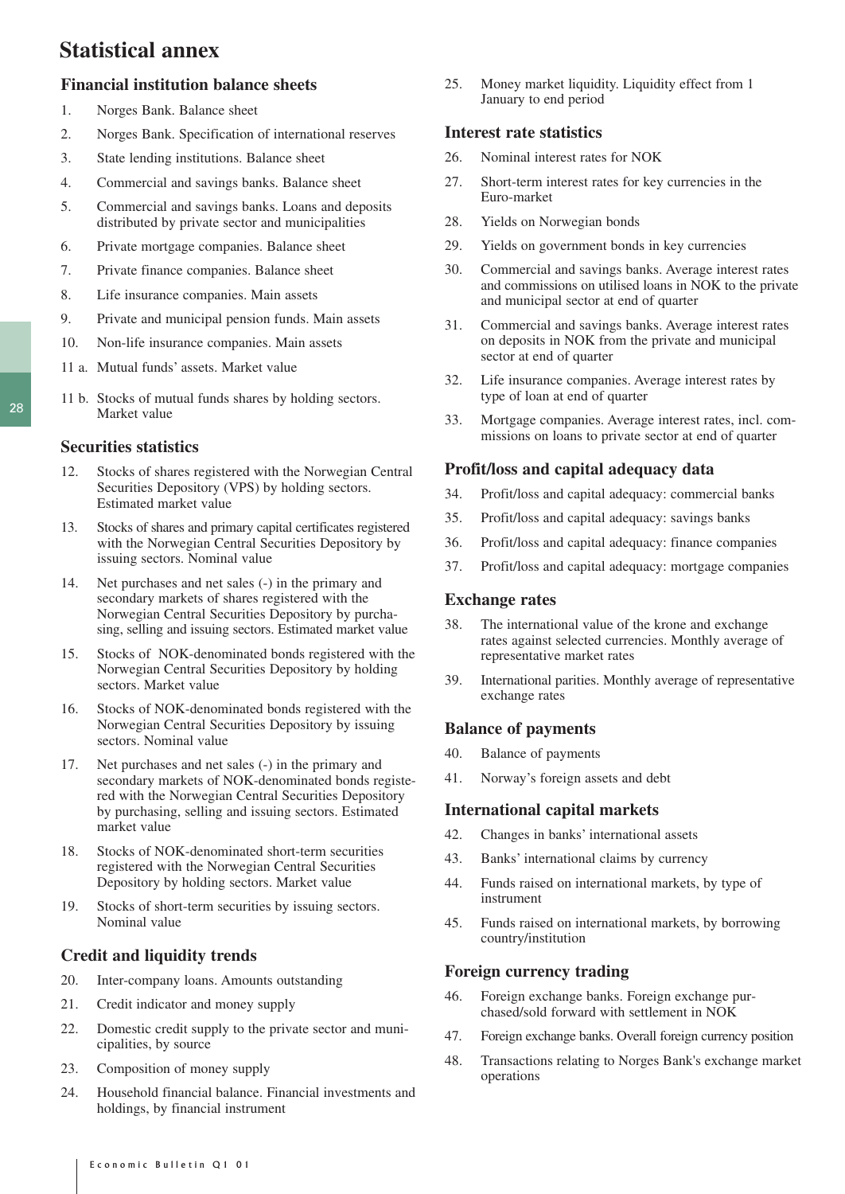# **Statistical annex**

# **Financial institution balance sheets**

- 1. Norges Bank. Balance sheet
- 2. Norges Bank. Specification of international reserves
- 3. State lending institutions. Balance sheet
- 4. Commercial and savings banks. Balance sheet
- 5. Commercial and savings banks. Loans and deposits distributed by private sector and municipalities
- 6. Private mortgage companies. Balance sheet
- 7. Private finance companies. Balance sheet
- 8. Life insurance companies. Main assets
- 9. Private and municipal pension funds. Main assets
- 10. Non-life insurance companies. Main assets
- 11 a. Mutual funds' assets. Market value
- 11 b. Stocks of mutual funds shares by holding sectors. Market value

### **Securities statistics**

- 12. Stocks of shares registered with the Norwegian Central Securities Depository (VPS) by holding sectors. Estimated market value
- 13. Stocks of shares and primary capital certificates registered with the Norwegian Central Securities Depository by issuing sectors. Nominal value
- 14. Net purchases and net sales (-) in the primary and secondary markets of shares registered with the Norwegian Central Securities Depository by purchasing, selling and issuing sectors. Estimated market value
- 15. Stocks of NOK-denominated bonds registered with the Norwegian Central Securities Depository by holding sectors. Market value
- 16. Stocks of NOK-denominated bonds registered with the Norwegian Central Securities Depository by issuing sectors. Nominal value
- 17. Net purchases and net sales (-) in the primary and secondary markets of NOK-denominated bonds registered with the Norwegian Central Securities Depository by purchasing, selling and issuing sectors. Estimated market value
- 18. Stocks of NOK-denominated short-term securities registered with the Norwegian Central Securities Depository by holding sectors. Market value
- 19. Stocks of short-term securities by issuing sectors. Nominal value

# **Credit and liquidity trends**

- 20. Inter-company loans. Amounts outstanding
- 21. Credit indicator and money supply
- 22. Domestic credit supply to the private sector and municipalities, by source
- 23. Composition of money supply
- 24. Household financial balance. Financial investments and holdings, by financial instrument

25. Money market liquidity. Liquidity effect from 1 January to end period

## **Interest rate statistics**

- 26. Nominal interest rates for NOK
- 27. Short-term interest rates for key currencies in the Euro-market
- 28. Yields on Norwegian bonds
- 29. Yields on government bonds in key currencies
- 30. Commercial and savings banks. Average interest rates and commissions on utilised loans in NOK to the private and municipal sector at end of quarter
- 31. Commercial and savings banks. Average interest rates on deposits in NOK from the private and municipal sector at end of quarter
- 32. Life insurance companies. Average interest rates by type of loan at end of quarter
- 33. Mortgage companies. Average interest rates, incl. commissions on loans to private sector at end of quarter

## **Profit/loss and capital adequacy data**

- 34. Profit/loss and capital adequacy: commercial banks
- 35. Profit/loss and capital adequacy: savings banks
- 36. Profit/loss and capital adequacy: finance companies
- 37. Profit/loss and capital adequacy: mortgage companies

## **Exchange rates**

- 38. The international value of the krone and exchange rates against selected currencies. Monthly average of representative market rates
- 39. International parities. Monthly average of representative exchange rates

### **Balance of payments**

- 40. Balance of payments
- 41. Norway's foreign assets and debt

### **International capital markets**

- 42. Changes in banks' international assets
- 43. Banks' international claims by currency
- 44. Funds raised on international markets, by type of instrument
- 45. Funds raised on international markets, by borrowing country/institution

### **Foreign currency trading**

- 46. Foreign exchange banks. Foreign exchange purchased/sold forward with settlement in NOK
- 47. Foreign exchange banks. Overall foreign currency position
- 48. Transactions relating to Norges Bank's exchange market operations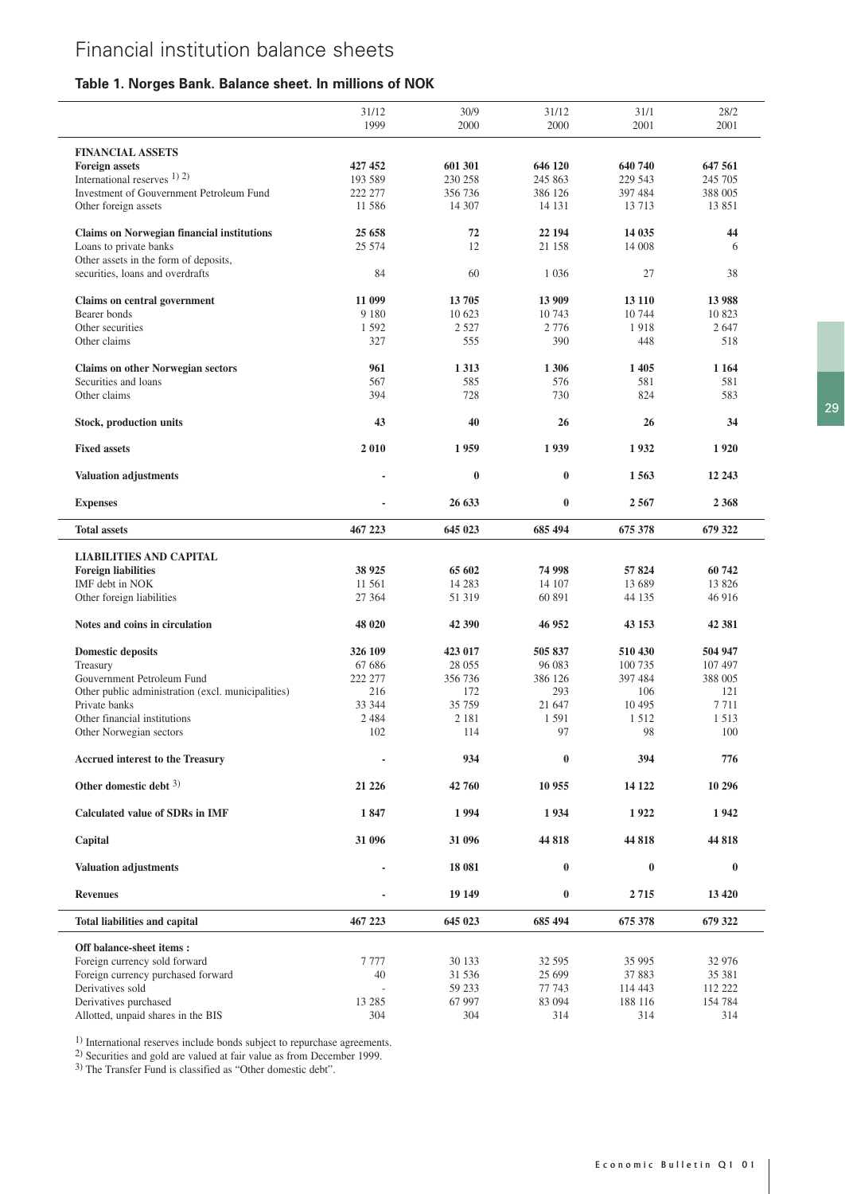# **Table 1. Norges Bank. Balance sheet. In millions of NOK**

|                                                    | 31/12   | 30/9     | 31/12    | 31/1     | 28/2     |
|----------------------------------------------------|---------|----------|----------|----------|----------|
|                                                    | 1999    | 2000     | 2000     | 2001     | 2001     |
| <b>FINANCIAL ASSETS</b>                            |         |          |          |          |          |
| <b>Foreign assets</b>                              | 427 452 | 601 301  | 646 120  | 640 740  | 647 561  |
| International reserves 1) 2)                       | 193 589 | 230 258  | 245 863  | 229 543  | 245 705  |
| Investment of Gouvernment Petroleum Fund           | 222 277 | 356 736  | 386 126  | 397 484  | 388 005  |
| Other foreign assets                               | 11 586  | 14 307   | 14 13 1  | 13 7 13  | 13 851   |
|                                                    |         |          |          |          |          |
| <b>Claims on Norwegian financial institutions</b>  | 25 658  | 72       | 22 194   | 14 0 35  | 44       |
| Loans to private banks                             | 25 574  | 12       | 21 158   | 14 008   | 6        |
| Other assets in the form of deposits,              |         |          |          |          |          |
| securities, loans and overdrafts                   | 84      | 60       | 1 0 3 6  | 27       | 38       |
| Claims on central government                       | 11 099  | 13705    | 13 909   | 13 110   | 13 988   |
|                                                    |         |          |          | 10 744   |          |
| Bearer bonds                                       | 9 1 8 0 | 10 623   | 10 743   |          | 10 823   |
| Other securities                                   | 1592    | 2 5 2 7  | 2 7 7 6  | 1918     | 2647     |
| Other claims                                       | 327     | 555      | 390      | 448      | 518      |
| <b>Claims on other Norwegian sectors</b>           | 961     | 1 3 1 3  | 1 3 0 6  | 1405     | 1 1 64   |
| Securities and loans                               | 567     | 585      | 576      | 581      | 581      |
| Other claims                                       | 394     | 728      | 730      | 824      | 583      |
|                                                    |         |          |          |          |          |
| <b>Stock, production units</b>                     | 43      | 40       | 26       | 26       | 34       |
| <b>Fixed assets</b>                                | 2010    | 1959     | 1939     | 1932     | 1920     |
| <b>Valuation adjustments</b>                       | ٠       | $\bf{0}$ | $\bf{0}$ | 1563     | 12 24 3  |
| <b>Expenses</b>                                    |         | 26 633   | $\bf{0}$ | 2567     | 2 3 6 8  |
| <b>Total assets</b>                                | 467 223 | 645 023  | 685 494  | 675 378  | 679 322  |
|                                                    |         |          |          |          |          |
| <b>LIABILITIES AND CAPITAL</b>                     |         |          |          |          |          |
| <b>Foreign liabilities</b>                         | 38 9 25 | 65 602   | 74 998   | 57824    | 60742    |
| IMF debt in NOK                                    | 11 561  | 14 2 8 3 | 14 107   | 13 689   | 13 8 26  |
| Other foreign liabilities                          | 27 3 64 | 51 319   | 60 891   | 44 135   | 46 916   |
| Notes and coins in circulation                     | 48 020  | 42 390   | 46 952   | 43 153   | 42 381   |
| <b>Domestic deposits</b>                           | 326 109 | 423 017  | 505 837  | 510 430  | 504 947  |
| Treasury                                           | 67 686  | 28 055   | 96 083   | 100 735  | 107 497  |
| Gouvernment Petroleum Fund                         | 222 277 | 356 736  | 386 126  | 397 484  | 388 005  |
|                                                    | 216     | 172      | 293      | 106      | 121      |
| Other public administration (excl. municipalities) |         |          |          |          |          |
| Private banks                                      | 33 344  | 35 759   | 21 647   | 10 4 95  | 7711     |
| Other financial institutions                       | 2 4 8 4 | 2 1 8 1  | 1 5 9 1  | 1512     | 1513     |
| Other Norwegian sectors                            | 102     | 114      | 97       | 98       | 100      |
| <b>Accrued interest to the Treasury</b>            |         | 934      | $\bf{0}$ | 394      | 776      |
| Other domestic debt $3$ )                          | 21 226  | 42 760   | 10 955   | 14 122   | 10 29 6  |
| <b>Calculated value of SDRs in IMF</b>             | 1847    | 1994     | 1934     | 1922     | 1942     |
| Capital                                            | 31 096  | 31 096   | 44 818   | 44 818   | 44 818   |
| <b>Valuation adjustments</b>                       |         | 18 081   | $\bf{0}$ | $\bf{0}$ | $\bf{0}$ |
| <b>Revenues</b>                                    |         | 19 14 9  | $\bf{0}$ | 2715     | 13 4 20  |
| Total liabilities and capital                      | 467 223 | 645 023  | 685 494  | 675 378  | 679 322  |
|                                                    |         |          |          |          |          |
| Off balance-sheet items:                           |         |          |          |          |          |
| Foreign currency sold forward                      | 7777    | 30 133   | 32 595   | 35 995   | 32 976   |
| Foreign currency purchased forward                 | 40      | 31 536   | 25 699   | 37 883   | 35 381   |
| Derivatives sold                                   |         | 59 233   | 77 743   | 114 443  | 112 222  |
| Derivatives purchased                              | 13 28 5 | 67 997   | 83 094   | 188 116  | 154 784  |
| Allotted, unpaid shares in the BIS                 | 304     | 304      | 314      | 314      | 314      |

1) International reserves include bonds subject to repurchase agreements.

2) Securities and gold are valued at fair value as from December 1999.

3) The Transfer Fund is classified as "Other domestic debt".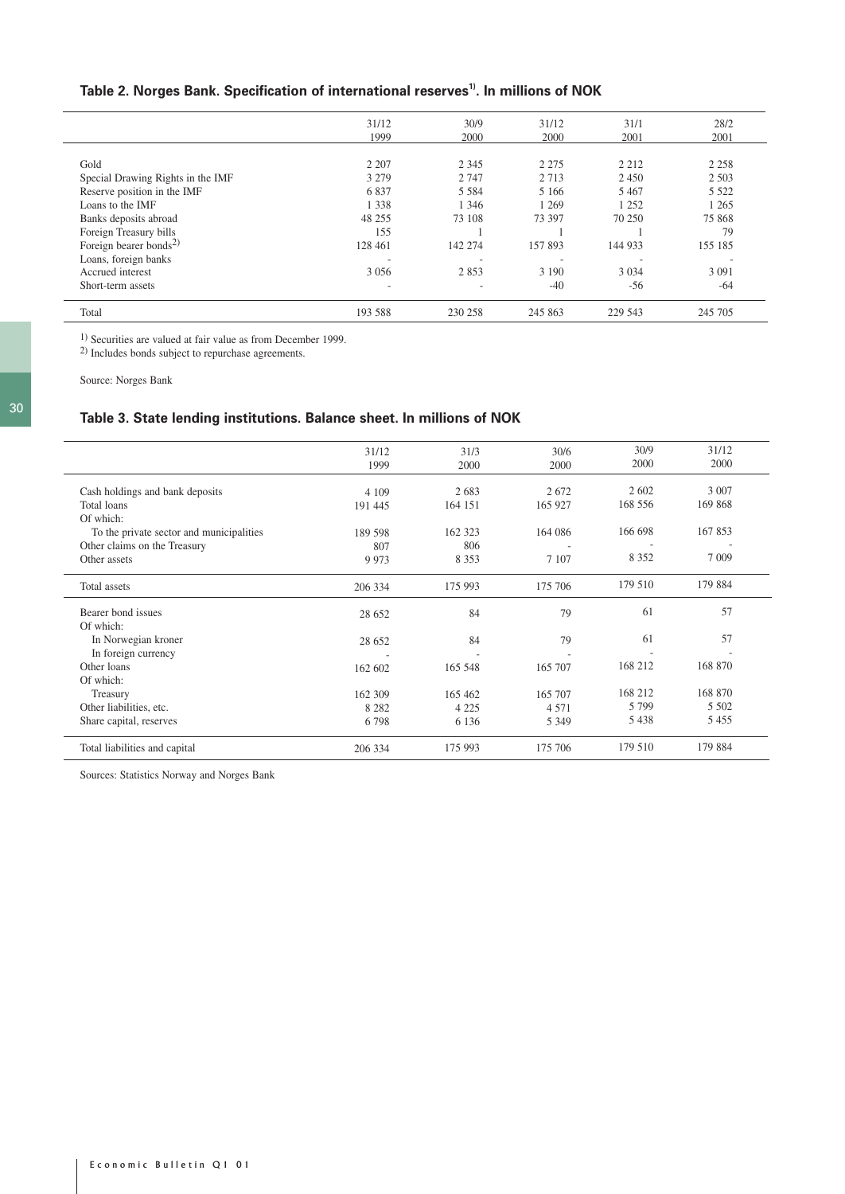# Table 2. Norges Bank. Specification of international reserves<sup>1)</sup>. In millions of NOK

|                                    | 31/12                    | 30/9    | 31/12   | 31/1    | 28/2    |
|------------------------------------|--------------------------|---------|---------|---------|---------|
|                                    | 1999                     | 2000    | 2000    | 2001    | 2001    |
|                                    |                          |         |         |         |         |
| Gold                               | 2 2 0 7                  | 2 3 4 5 | 2 2 7 5 | 2 2 1 2 | 2 2 5 8 |
| Special Drawing Rights in the IMF  | 3 2 7 9                  | 2 7 4 7 | 2 7 1 3 | 2450    | 2 5 0 3 |
| Reserve position in the IMF        | 6837                     | 5 5 8 4 | 5 1 6 6 | 5 4 6 7 | 5 5 2 2 |
| Loans to the IMF                   | 1 3 3 8                  | 1 3 4 6 | 1 2 6 9 | 1 2 5 2 | 1 2 6 5 |
| Banks deposits abroad              | 48 25 5                  | 73 108  | 73 397  | 70 250  | 75 868  |
| Foreign Treasury bills             | 155                      |         |         |         | 79      |
| Foreign bearer bonds <sup>2)</sup> | 128 461                  | 142 274 | 157893  | 144 933 | 155 185 |
| Loans, foreign banks               | -                        |         |         |         |         |
| Accrued interest                   | 3 0 5 6                  | 2853    | 3 1 9 0 | 3 0 3 4 | 3 0 9 1 |
| Short-term assets                  | $\overline{\phantom{a}}$ | ٠       | $-40$   | $-56$   | $-64$   |
| Total                              | 193 588                  | 230 258 | 245 863 | 229 543 | 245 705 |

<sup>1</sup>) Securities are valued at fair value as from December 1999.

2) Includes bonds subject to repurchase agreements.

Source: Norges Bank

# **Table 3. State lending institutions. Balance sheet. In millions of NOK**

| 30/9<br>31/12<br>2000<br>2000<br>2 6 0 2<br>3 0 0 7<br>168 556<br>169 868 |
|---------------------------------------------------------------------------|
|                                                                           |
|                                                                           |
|                                                                           |
|                                                                           |
|                                                                           |
| 166 698<br>167853                                                         |
|                                                                           |
| 8 3 5 2<br>7 0 0 9                                                        |
|                                                                           |
| 179 510<br>179 884                                                        |
| 57                                                                        |
|                                                                           |
| 57                                                                        |
|                                                                           |
|                                                                           |
| 168 212<br>168 870                                                        |
|                                                                           |
|                                                                           |
| 168 212<br>168 870                                                        |
| 5 5 0 2<br>5 7 9 9                                                        |
| 5438<br>5455                                                              |
| 179 510<br>179 884                                                        |
| 61<br>61                                                                  |

Sources: Statistics Norway and Norges Bank

L.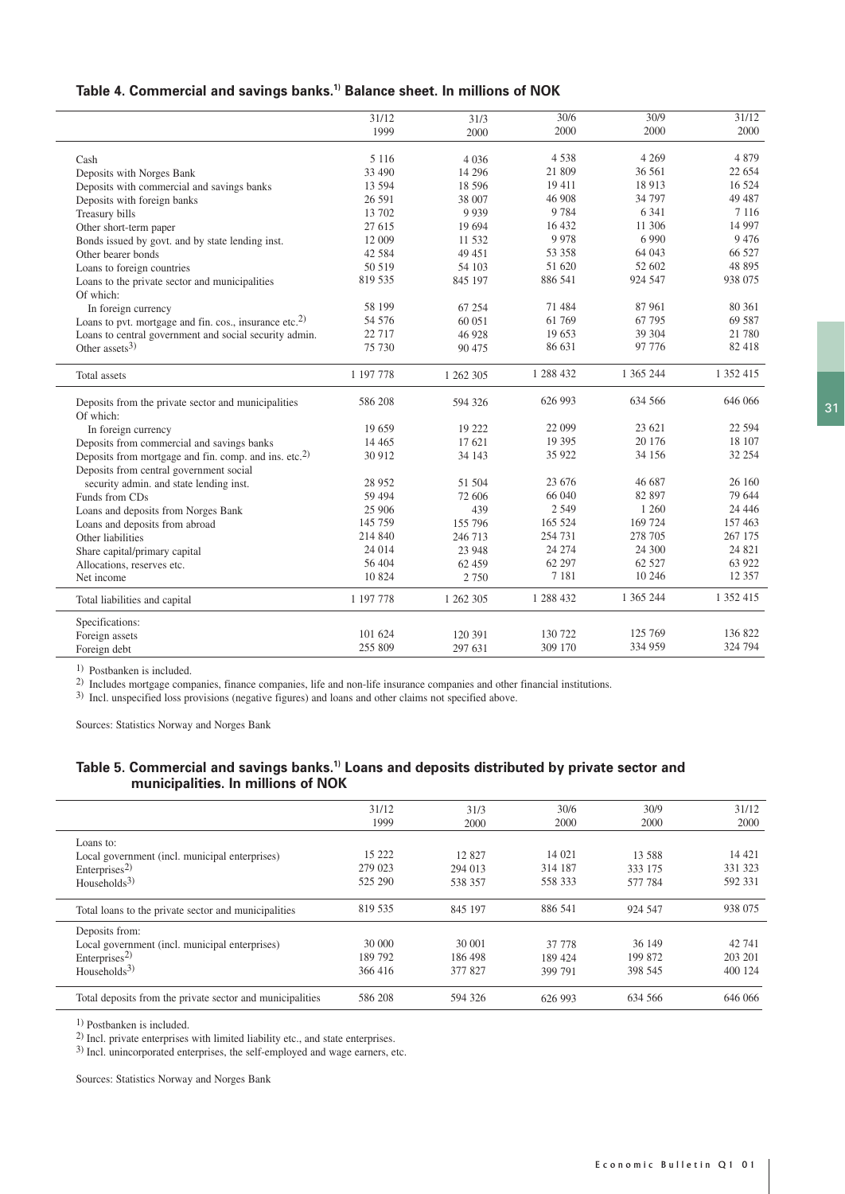# **Table 4. Commercial and savings banks.1) Balance sheet. In millions of NOK**

|                                                                    | 31/12     | 31/3      | 30/6      | 30/9      | 31/12     |
|--------------------------------------------------------------------|-----------|-----------|-----------|-----------|-----------|
|                                                                    | 1999      | 2000      | 2000      | 2000      | 2000      |
|                                                                    |           |           |           |           |           |
| Cash                                                               | 5 1 1 6   | 4 0 3 6   | 4538      | 4 2 6 9   | 4 8 7 9   |
| Deposits with Norges Bank                                          | 33 490    | 14 29 6   | 21 809    | 36 561    | 22 654    |
| Deposits with commercial and savings banks                         | 13 594    | 18 5 9 6  | 19 411    | 18913     | 16 5 24   |
| Deposits with foreign banks                                        | 26 591    | 38 007    | 46 908    | 34 797    | 49 487    |
| Treasury bills                                                     | 13 702    | 9 9 3 9   | 9 7 8 4   | 6 3 4 1   | 7 1 1 6   |
| Other short-term paper                                             | 27 615    | 19 694    | 16 432    | 11 306    | 14 9 97   |
| Bonds issued by govt. and by state lending inst.                   | 12 009    | 11 532    | 9978      | 6 9 9 0   | 9 4 7 6   |
| Other bearer bonds                                                 | 42 5 8 4  | 49 451    | 53 358    | 64 043    | 66 527    |
| Loans to foreign countries                                         | 50 519    | 54 103    | 51 620    | 52 602    | 48 895    |
| Loans to the private sector and municipalities                     | 819 535   | 845 197   | 886 541   | 924 547   | 938 075   |
| Of which:                                                          |           |           |           |           |           |
| In foreign currency                                                | 58 199    | 67 254    | 71 484    | 87 961    | 80 361    |
| Loans to pvt. mortgage and fin. cos., insurance etc. <sup>2)</sup> | 54 576    | 60 051    | 61 769    | 67 795    | 69 587    |
| Loans to central government and social security admin.             | 22 7 17   | 46 928    | 19 653    | 39 304    | 21 780    |
| Other assets $3$ )                                                 | 75 730    | 90 475    | 86 631    | 97 776    | 82 418    |
|                                                                    |           |           |           |           |           |
| Total assets                                                       | 1 197 778 | 1 262 305 | 1 288 432 | 1 365 244 | 1 352 415 |
| Deposits from the private sector and municipalities                | 586 208   | 594 326   | 626 993   | 634 566   | 646 066   |
| Of which:                                                          |           |           |           |           |           |
| In foreign currency                                                | 19 659    | 19 222    | 22 099    | 23 621    | 22 5 9 4  |
| Deposits from commercial and savings banks                         | 14 4 65   | 17 621    | 19 3 95   | 20 17 6   | 18 107    |
| Deposits from mortgage and fin. comp. and ins. etc. <sup>2)</sup>  | 30 912    | 34 143    | 35 922    | 34 156    | 32 254    |
| Deposits from central government social                            |           |           |           |           |           |
| security admin. and state lending inst.                            | 28 9 52   | 51 504    | 23 676    | 46 687    | 26 160    |
| Funds from CDs                                                     | 59 494    | 72 606    | 66 040    | 82 897    | 79 644    |
| Loans and deposits from Norges Bank                                | 25 906    | 439       | 2 5 4 9   | 1 260     | 24 4 4 6  |
| Loans and deposits from abroad                                     | 145 759   | 155 796   | 165 524   | 169 724   | 157 463   |
| Other liabilities                                                  | 214 840   | 246 713   | 254 731   | 278 705   | 267 175   |
| Share capital/primary capital                                      | 24 014    | 23 948    | 24 274    | 24 300    | 24 821    |
| Allocations, reserves etc.                                         | 56 404    | 62 459    | 62 297    | 62 5 27   | 63 922    |
| Net income                                                         | 10 824    | 2 7 5 0   | 7 1 8 1   | 10 24 6   | 12 3 5 7  |
| Total liabilities and capital                                      | 1 197 778 | 1 262 305 | 1 288 432 | 1 365 244 | 1 352 415 |
|                                                                    |           |           |           |           |           |
| Specifications:                                                    |           |           |           |           | 136 822   |
| Foreign assets                                                     | 101 624   | 120 391   | 130 722   | 125 769   | 324 794   |
| Foreign debt                                                       | 255 809   | 297 631   | 309 170   | 334 959   |           |
|                                                                    |           |           |           |           |           |

1) Postbanken is included.

2) Includes mortgage companies, finance companies, life and non-life insurance companies and other financial institutions.

3) Incl. unspecified loss provisions (negative figures) and loans and other claims not specified above.

Sources: Statistics Norway and Norges Bank

#### **Table 5. Commercial and savings banks.1) Loans and deposits distributed by private sector and municipalities. In millions of NOK**

|                                                           | 31/12   | 31/3    | 30/6    | 30/9    | 31/12   |
|-----------------------------------------------------------|---------|---------|---------|---------|---------|
|                                                           | 1999    | 2000    | 2000    | 2000    | 2000    |
| Loans to:                                                 |         |         |         |         |         |
| Local government (incl. municipal enterprises)            | 15 222  | 12827   | 14 021  | 13.588  | 14 4 21 |
| Enterprises <sup>2)</sup>                                 | 279 023 | 294 013 | 314 187 | 333 175 | 331 323 |
| Households $3$ )                                          | 525 290 | 538 357 | 558 333 | 577 784 | 592 331 |
|                                                           |         |         |         |         |         |
| Total loans to the private sector and municipalities      | 819 535 | 845 197 | 886 541 | 924 547 | 938 075 |
| Deposits from:                                            |         |         |         |         |         |
| Local government (incl. municipal enterprises)            | 30 000  | 30 001  | 37 778  | 36 149  | 42 741  |
| $\text{Enterprises}^{2)}$                                 | 189792  | 186498  | 189 424 | 199 872 | 203 201 |
| Households $3$ )                                          | 366416  | 377 827 | 399 791 | 398 545 | 400 124 |
| Total deposits from the private sector and municipalities | 586 208 | 594 326 | 626 993 | 634 566 | 646 066 |

1) Postbanken is included.

 $^{2)}$  Incl. private enterprises with limited liability etc., and state enterprises.

3) Incl. unincorporated enterprises, the self-employed and wage earners, etc.

Sources: Statistics Norway and Norges Bank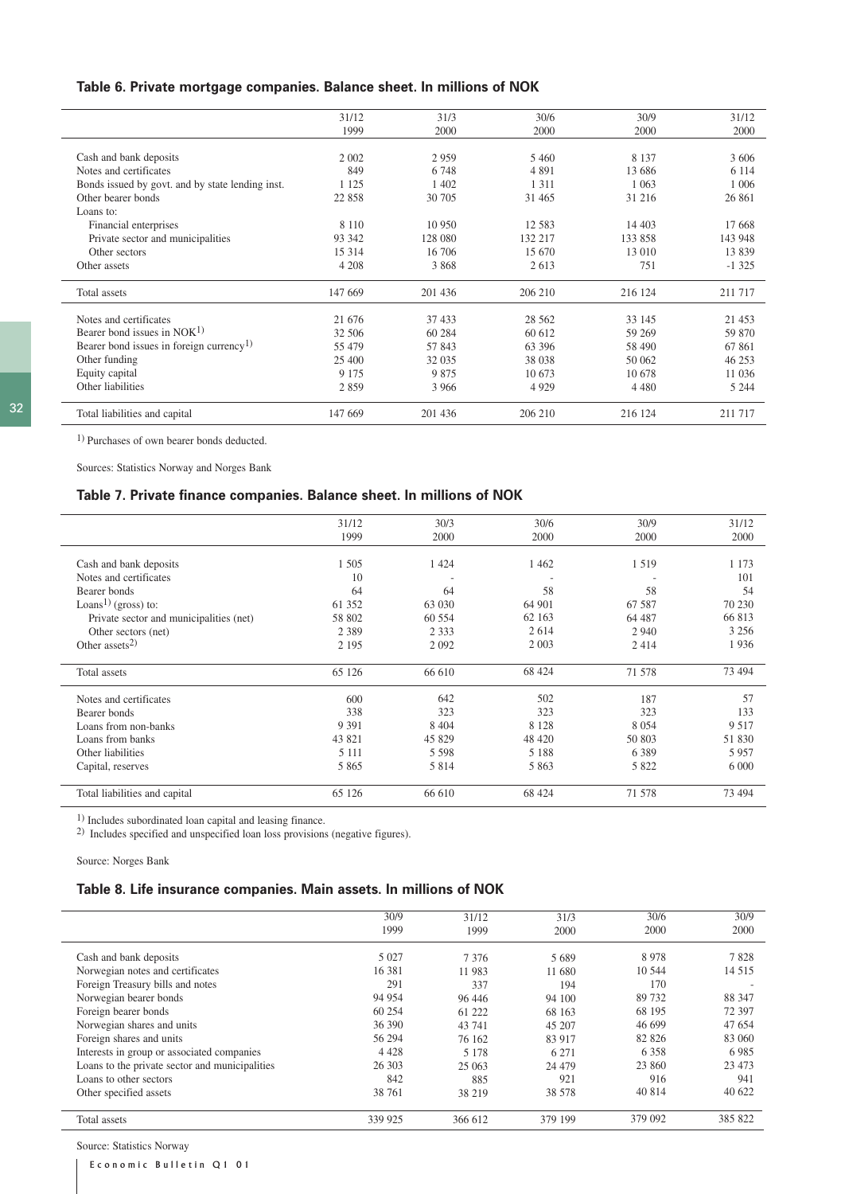### **Table 6. Private mortgage companies. Balance sheet. In millions of NOK**

|                                                      | 31/12   | 31/3    | 30/6     | 30/9    | 31/12    |
|------------------------------------------------------|---------|---------|----------|---------|----------|
|                                                      | 1999    | 2000    | 2000     | 2000    | 2000     |
|                                                      |         |         |          |         |          |
| Cash and bank deposits                               | 2 0 0 2 | 2959    | 5460     | 8 1 3 7 | 3 6 0 6  |
| Notes and certificates                               | 849     | 6 7 4 8 | 4 8 9 1  | 13 686  | 6 1 1 4  |
| Bonds issued by govt. and by state lending inst.     | 1 1 2 5 | 1 4 0 2 | 1 3 1 1  | 1 0 6 3 | 1 0 0 6  |
| Other bearer bonds                                   | 22 858  | 30 70 5 | 31 4 65  | 31 216  | 26 861   |
| Loans to:                                            |         |         |          |         |          |
| Financial enterprises                                | 8 1 1 0 | 10 950  | 12 5 8 3 | 14 403  | 17 668   |
| Private sector and municipalities                    | 93 342  | 128 080 | 132 217  | 133 858 | 143 948  |
| Other sectors                                        | 15 3 14 | 16 706  | 15 670   | 13 010  | 13839    |
| Other assets                                         | 4 2 0 8 | 3 8 6 8 | 2613     | 751     | $-1325$  |
| Total assets                                         | 147 669 | 201 436 | 206 210  | 216 124 | 211 717  |
| Notes and certificates                               | 21 676  | 37 433  | 28 5 6 2 | 33 145  | 21 4 5 3 |
| Bearer bond issues in NOK <sup>1)</sup>              | 32 506  | 60 284  | 60 612   | 59 269  | 59 870   |
| Bearer bond issues in foreign currency <sup>1)</sup> | 55 479  | 57843   | 63 396   | 58 490  | 67 861   |
| Other funding                                        | 25 400  | 32 0 35 | 38 038   | 50 062  | 46 253   |
| Equity capital                                       | 9 1 7 5 | 9875    | 10 673   | 10.678  | 11 036   |
| Other liabilities                                    | 2859    | 3 9 6 6 | 4929     | 4 4 8 0 | 5 2 4 4  |
| Total liabilities and capital                        | 147 669 | 201 436 | 206 210  | 216 124 | 211 717  |

1) Purchases of own bearer bonds deducted.

Sources: Statistics Norway and Norges Bank

# **Table 7. Private finance companies. Balance sheet. In millions of NOK**

|                                         | 31/12   | 30/3    | 30/6    | 30/9    | 31/12   |
|-----------------------------------------|---------|---------|---------|---------|---------|
|                                         | 1999    | 2000    | 2000    | 2000    | 2000    |
|                                         |         |         |         |         |         |
| Cash and bank deposits                  | 1 5 0 5 | 1 4 2 4 | 1462    | 1519    | 1 1 7 3 |
| Notes and certificates                  | 10      |         |         |         | 101     |
| Bearer bonds                            | 64      | 64      | 58      | 58      | 54      |
| Loans <sup>1)</sup> (gross) to:         | 61 352  | 63 030  | 64 901  | 67 587  | 70 230  |
| Private sector and municipalities (net) | 58 802  | 60 554  | 62 163  | 64 487  | 66 813  |
| Other sectors (net)                     | 2 3 8 9 | 2 3 3 3 | 2 6 1 4 | 2 9 4 0 | 3 2 5 6 |
| Other assets <sup>2)</sup>              | 2 1 9 5 | 2 0 9 2 | 2 0 0 3 | 2414    | 1936    |
| Total assets                            | 65 126  | 66 610  | 68 424  | 71 578  | 73 494  |
| Notes and certificates                  | 600     | 642     | 502     | 187     | 57      |
| Bearer bonds                            | 338     | 323     | 323     | 323     | 133     |
| Loans from non-banks                    | 9 3 9 1 | 8 4 0 4 | 8 1 2 8 | 8 0 5 4 | 9 5 1 7 |
| Loans from banks                        | 43 821  | 45 829  | 48 4 20 | 50 803  | 51 830  |
| Other liabilities                       | 5 1 1 1 | 5 5 9 8 | 5 1 8 8 | 6 3 8 9 | 5957    |
| Capital, reserves                       | 5 8 6 5 | 5 8 1 4 | 5 8 6 3 | 5 8 2 2 | 6 0 0 0 |
| Total liabilities and capital           | 65 126  | 66 610  | 68 424  | 71 578  | 73 494  |
|                                         |         |         |         |         |         |

 $1)$  Includes subordinated loan capital and leasing finance.

2) Includes specified and unspecified loan loss provisions (negative figures).

Source: Norges Bank

# **Table 8. Life insurance companies. Main assets. In millions of NOK**

|                                                | 30/9<br>1999 | 31/12<br>1999 | 31/3<br>2000 | 30/6<br>2000 | 30/9<br>2000             |
|------------------------------------------------|--------------|---------------|--------------|--------------|--------------------------|
| Cash and bank deposits                         | 5 0 2 7      | 7376          | 5689         | 8978         | 7828                     |
| Norwegian notes and certificates               | 16 38 1      | 11 983        | 11 680       | 10 544       | 14 5 15                  |
| Foreign Treasury bills and notes               | 291          | 337           | 194          | 170          | $\overline{\phantom{a}}$ |
| Norwegian bearer bonds                         | 94 954       | 96 44 6       | 94 100       | 89 732       | 88 347                   |
| Foreign bearer bonds                           | 60 254       | 61 222        | 68 163       | 68 195       | 72 397                   |
| Norwegian shares and units                     | 36 390       | 43 741        | 45 207       | 46 699       | 47 654                   |
| Foreign shares and units                       | 56 294       | 76 162        | 83 917       | 82 826       | 83 060                   |
| Interests in group or associated companies     | 4 4 2 8      | 5 1 7 8       | 6 2 7 1      | 6 3 5 8      | 6985                     |
| Loans to the private sector and municipalities | 26 30 3      | 25 063        | 24 4 79      | 23 860       | 23 4 73                  |
| Loans to other sectors                         | 842          | 885           | 921          | 916          | 941                      |
| Other specified assets                         | 38 761       | 38 219        | 38 578       | 40 814       | 40 622                   |
| Total assets                                   | 339 925      | 366 612       | 379 199      | 379 092      | 385 822                  |

Source: Statistics Norway

Economic Bulletin Q1 01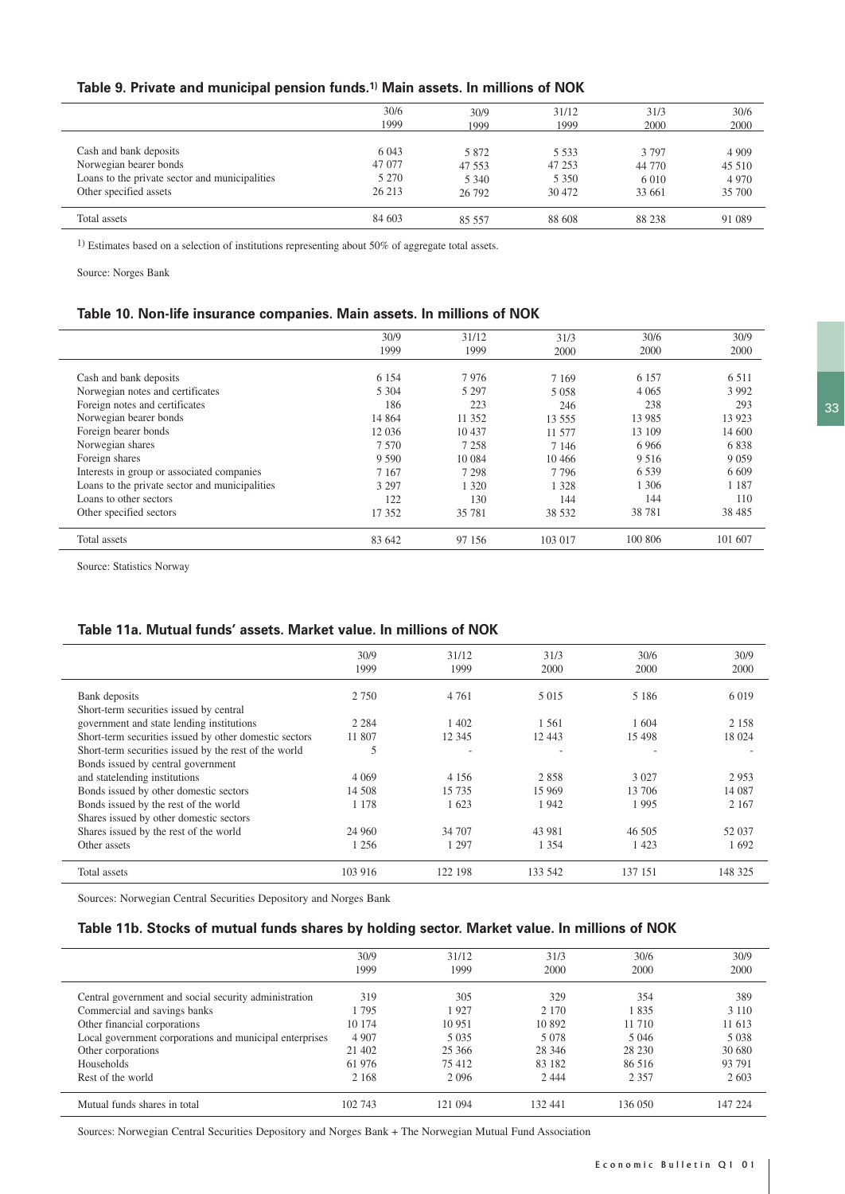# **Table 9. Private and municipal pension funds.1) Main assets. In millions of NOK**

|                                                | 30/6    | 30/9    | 31/12   | 31/3    | 30/6    |
|------------------------------------------------|---------|---------|---------|---------|---------|
|                                                | 1999    | 1999    | 1999    | 2000    | 2000    |
| Cash and bank deposits                         | 6 0 43  | 5 8 7 2 | 5 5 3 3 | 3 7 9 7 | 4 9 0 9 |
| Norwegian bearer bonds                         | 47 077  | 47 553  | 47 253  | 44 770  | 45 510  |
| Loans to the private sector and municipalities | 5 2 7 0 | 5 3 4 0 | 5 3 5 0 | 6 0 1 0 | 4 9 7 0 |
| Other specified assets                         | 26 213  | 26 792  | 30 472  | 33 661  | 35 700  |
| Total assets                                   | 84 603  | 85 557  | 88 608  | 88 238  | 91 089  |

1) Estimates based on a selection of institutions representing about 50% of aggregate total assets.

Source: Norges Bank

# **Table 10. Non-life insurance companies. Main assets. In millions of NOK**

|                                                | 30/9    | 31/12   | 31/3    | 30/6    | 30/9     |
|------------------------------------------------|---------|---------|---------|---------|----------|
|                                                | 1999    | 1999    | 2000    | 2000    | 2000     |
|                                                |         |         |         |         |          |
| Cash and bank deposits                         | 6 1 5 4 | 7976    | 7 1 6 9 | 6 1 5 7 | 6 5 1 1  |
| Norwegian notes and certificates               | 5 3 0 4 | 5 2 9 7 | 5 0 5 8 | 4 0 6 5 | 3 9 9 2  |
| Foreign notes and certificates                 | 186     | 223     | 246     | 238     | 293      |
| Norwegian bearer bonds                         | 14 8 64 | 11 352  | 13 555  | 13 985  | 13 9 23  |
| Foreign bearer bonds                           | 12 036  | 10 437  | 11 577  | 13 109  | 14 600   |
| Norwegian shares                               | 7 5 7 0 | 7 2 5 8 | 7 1 4 6 | 6 9 6 6 | 6838     |
| Foreign shares                                 | 9 5 9 0 | 10 0 84 | 10466   | 9 5 1 6 | 9 0 5 9  |
| Interests in group or associated companies     | 7 1 6 7 | 7 2 9 8 | 7796    | 6 5 3 9 | 6.609    |
| Loans to the private sector and municipalities | 3 2 9 7 | 1 320   | 1 3 2 8 | 1 3 0 6 | 1 1 8 7  |
| Loans to other sectors                         | 122     | 130     | 144     | 144     | 110      |
| Other specified sectors                        | 17 352  | 35 781  | 38 532  | 38 781  | 38 4 8 5 |
| Total assets                                   | 83 642  | 97 156  | 103 017 | 100 806 | 101 607  |

Source: Statistics Norway

### **Table 11a. Mutual funds' assets. Market value. In millions of NOK**

|                                                          | 30/9<br>1999 | 31/12<br>1999 | 31/3<br>2000 | 30/6<br>2000 | 30/9<br>2000 |
|----------------------------------------------------------|--------------|---------------|--------------|--------------|--------------|
| Bank deposits<br>Short-term securities issued by central | 2 7 5 0      | 4 7 6 1       | 5 0 1 5      | 5 1 8 6      | 6 0 19       |
| government and state lending institutions                | 2 2 8 4      | 1 402         | 1 5 6 1      | 1 604        | 2 1 5 8      |
| Short-term securities issued by other domestic sectors   | 11 807       | 12 345        | 12 443       | 15 4 98      | 18 024       |
| Short-term securities issued by the rest of the world    | 5            | ٠             |              |              |              |
| Bonds issued by central government                       |              |               |              |              |              |
| and statelending institutions                            | 4 0 6 9      | 4 1 5 6       | 2858         | 3 0 2 7      | 2953         |
| Bonds issued by other domestic sectors                   | 14 508       | 15 735        | 15 9 69      | 13 706       | 14 087       |
| Bonds issued by the rest of the world                    | 1 1 7 8      | 1 623         | 1942         | 1995         | 2 1 6 7      |
| Shares issued by other domestic sectors                  |              |               |              |              |              |
| Shares issued by the rest of the world                   | 24 960       | 34 707        | 43 981       | 46 505       | 52 037       |
| Other assets                                             | 1 2 5 6      | 1 297         | 1 3 5 4      | 1423         | 1692         |
| Total assets                                             | 103 916      | 122 198       | 133 542      | 137 151      | 148 325      |
|                                                          |              |               |              |              |              |

Sources: Norwegian Central Securities Depository and Norges Bank

### **Table 11b. Stocks of mutual funds shares by holding sector. Market value. In millions of NOK**

|                                                         | 30/9    | 31/12   | 31/3    | 30/6    | 30/9    |
|---------------------------------------------------------|---------|---------|---------|---------|---------|
|                                                         | 1999    | 1999    | 2000    | 2000    | 2000    |
| Central government and social security administration   | 319     | 305     | 329     | 354     | 389     |
| Commercial and savings banks                            | 1 7 9 5 | 1927    | 2 1 7 0 | 1835    | 3 1 1 0 |
| Other financial corporations                            | 10 174  | 10 951  | 10 892  | 11 710  | 11 613  |
| Local government corporations and municipal enterprises | 4 9 0 7 | 5 0 3 5 | 5 0 7 8 | 5 0 4 6 | 5 0 38  |
| Other corporations                                      | 21 402  | 25 366  | 28 346  | 28 230  | 30 680  |
| Households                                              | 61 976  | 75 412  | 83 182  | 86.516  | 93 791  |
| Rest of the world                                       | 2 1 6 8 | 2 0 9 6 | 2 4 4 4 | 2 3 5 7 | 2 6 0 3 |
| Mutual funds shares in total                            | 102 743 | 121 094 | 132 441 | 136 050 | 147 224 |

Sources: Norwegian Central Securities Depository and Norges Bank + The Norwegian Mutual Fund Association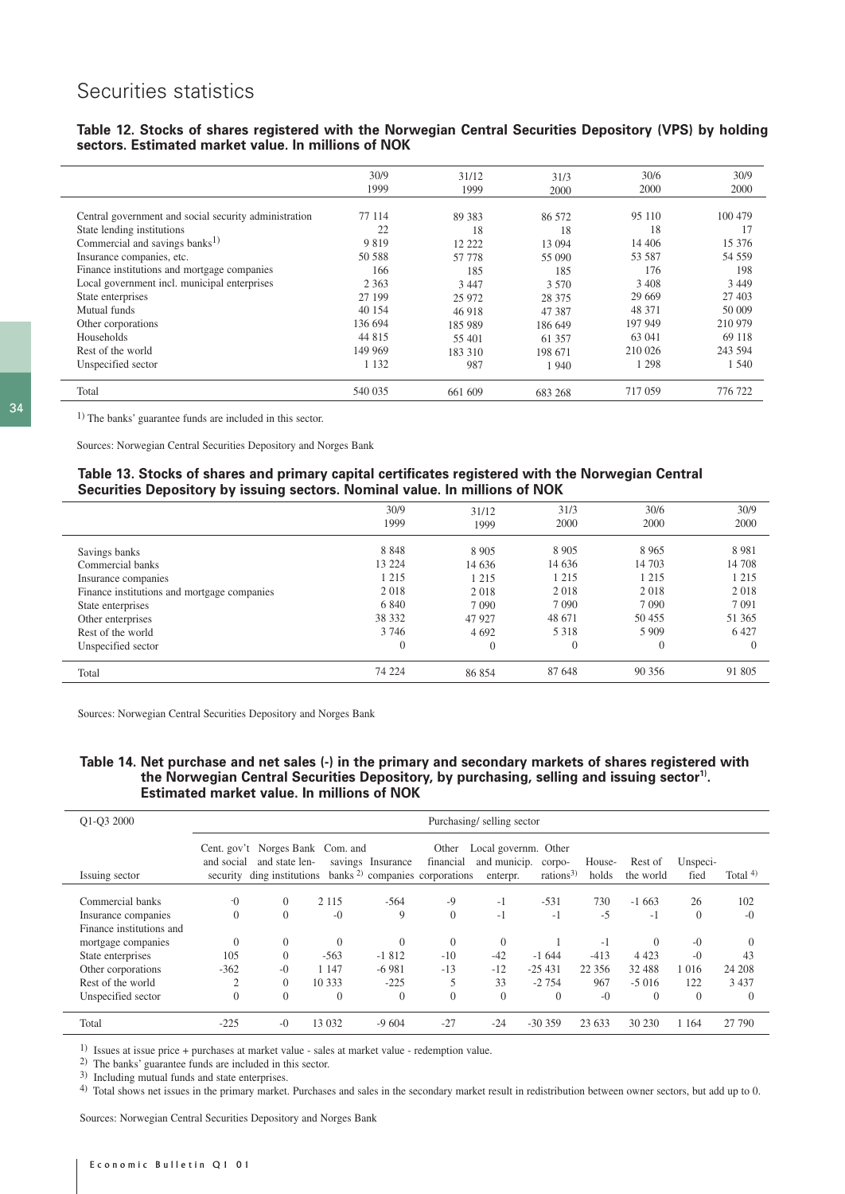# Securities statistics

### **Table 12. Stocks of shares registered with the Norwegian Central Securities Depository (VPS) by holding sectors. Estimated market value. In millions of NOK**

|                                                                                     | 30/9<br>1999 | 31/12<br>1999 | 31/3<br>2000 | 30/6<br>2000 | 30/9<br>2000  |
|-------------------------------------------------------------------------------------|--------------|---------------|--------------|--------------|---------------|
| Central government and social security administration<br>State lending institutions | 77 114<br>22 | 89 383<br>18  | 86 572<br>18 | 95 110<br>18 | 100 479<br>17 |
| Commercial and savings banks <sup>1)</sup>                                          | 9819         | 12 222        | 13 094       | 14 40 6      | 15 376        |
| Insurance companies, etc.                                                           | 50 588       | 57 778        | 55 090       | 53 587       | 54 559        |
| Finance institutions and mortgage companies                                         | 166          | 185           | 185          | 176          | 198           |
| Local government incl. municipal enterprises                                        | 2 3 6 3      | 3 4 4 7       | 3.570        | 3 4 0 8      | 3 4 4 9       |
| State enterprises                                                                   | 27 199       | 25 972        | 28 375       | 29 669       | 27 403        |
| Mutual funds                                                                        | 40 154       | 46 918        | 47 387       | 48 371       | 50 009        |
| Other corporations                                                                  | 136 694      | 185 989       | 186 649      | 197 949      | 210 979       |
| Households                                                                          | 44 815       | 55 401        | 61 357       | 63 041       | 69 118        |
| Rest of the world                                                                   | 149 969      | 183 310       | 198 671      | 210 026      | 243 594       |
| Unspecified sector                                                                  | 1 1 3 2      | 987           | 1940         | l 298        | 1 540         |
| Total                                                                               | 540 035      | 661 609       | 683 268      | 717 059      | 776 722       |

34

1) The banks' guarantee funds are included in this sector.

Sources: Norwegian Central Securities Depository and Norges Bank

#### **Table 13. Stocks of shares and primary capital certificates registered with the Norwegian Central Securities Depository by issuing sectors. Nominal value. In millions of NOK**

|                                             | 30/9         | 31/12    | 31/3           | 30/6           | 30/9     |
|---------------------------------------------|--------------|----------|----------------|----------------|----------|
|                                             | 1999         | 1999     | 2000           | 2000           | 2000     |
|                                             |              |          |                |                |          |
| Savings banks                               | 8848         | 8 9 0 5  | 8 9 0 5        | 8 9 6 5        | 8981     |
| Commercial banks                            | 13 2 2 4     | 14 636   | 14 636         | 14 703         | 14 708   |
| Insurance companies                         | 1 2 1 5      | 1 2 1 5  | 1 2 1 5        | 1 2 1 5        | 1 2 1 5  |
| Finance institutions and mortgage companies | 2018         | 2018     | 2018           | 2018           | 2018     |
| State enterprises                           | 6 8 4 0      | 7 0 9 0  | 7 0 9 0        | 7 0 9 0        | 7 0 9 1  |
| Other enterprises                           | 38 332       | 47 9 27  | 48 671         | 50 455         | 51 365   |
| Rest of the world                           | 3 7 4 6      | 4 6 9 2  | 5 3 1 8        | 5 9 0 9        | 6427     |
| Unspecified sector                          | $\mathbf{0}$ | $\Omega$ | $\overline{0}$ | $\overline{0}$ | $\Omega$ |
|                                             |              |          |                |                |          |
| Total                                       | 74 224       | 86 854   | 87 648         | 90 356         | 91 805   |
|                                             |              |          |                |                |          |

Sources: Norwegian Central Securities Depository and Norges Bank

### **Table 14. Net purchase and net sales (-) in the primary and secondary markets of shares registered with**  the Norwegian Central Securities Depository, by purchasing, selling and issuing sector<sup>1)</sup>. **Estimated market value. In millions of NOK**

| Q1-Q3 2000                                                          |                             | Purchasing/selling sector                                            |                    |                    |                                                                  |                                                  |                                |                    |                      |                  |                     |
|---------------------------------------------------------------------|-----------------------------|----------------------------------------------------------------------|--------------------|--------------------|------------------------------------------------------------------|--------------------------------------------------|--------------------------------|--------------------|----------------------|------------------|---------------------|
| Issuing sector                                                      | Cent. $gov't$<br>and social | Norges Bank Com. and<br>and state len-<br>security ding institutions |                    | savings Insurance  | Other<br>financial<br>banks <sup>2)</sup> companies corporations | Local governm. Other<br>and municip.<br>enterpr. | corpo-<br>rations <sup>3</sup> | House-<br>holds    | Rest of<br>the world | Unspeci-<br>fied | Total $4$ )         |
| Commercial banks<br>Insurance companies<br>Finance institutions and | $-0$<br>$\theta$            | $\Omega$<br>$\mathbf{0}$                                             | 2 1 1 5<br>$-0$    | $-564$<br>9        | $-9$<br>$\theta$                                                 | $-1$<br>$-1$                                     | $-531$<br>$-1$                 | 730<br>$-5$        | $-1663$<br>$-1$      | 26<br>$\Omega$   | 102<br>$-0$         |
| mortgage companies                                                  | $\theta$                    | $\Omega$                                                             | $\Omega$           | $\Omega$           | $\Omega$                                                         | $\theta$                                         |                                | $-1$               | $\Omega$             | $-0$             | $\Omega$            |
| State enterprises<br>Other corporations                             | 105<br>$-362$               | $\Omega$<br>$-()$                                                    | $-563$<br>1 1 4 7  | $-1812$<br>$-6981$ | $-10$<br>$-13$                                                   | $-42$<br>$-12$                                   | $-1644$<br>$-25431$            | $-413$<br>22 3 5 6 | 4 4 2 3<br>32 488    | $-0$<br>1 0 1 6  | 43<br>24 208        |
| Rest of the world<br>Unspecified sector                             | 2<br>$\theta$               | $\mathbf{0}$<br>$\theta$                                             | 10 333<br>$\theta$ | $-225$<br>$\Omega$ | $\theta$                                                         | 33<br>$\theta$                                   | $-2754$<br>$\Omega$            | 967<br>$-()$       | $-5016$<br>$\Omega$  | 122<br>$\Omega$  | 3 4 3 7<br>$\Omega$ |
| Total                                                               | $-225$                      | $-0$                                                                 | 13 0 32            | $-9604$            | $-27$                                                            | $-24$                                            | $-30359$                       | 23 633             | 30 230               | 1 1 6 4          | 27 790              |

1) Issues at issue price + purchases at market value - sales at market value - redemption value.

2) The banks' guarantee funds are included in this sector.

3) Including mutual funds and state enterprises.

4) Total shows net issues in the primary market. Purchases and sales in the secondary market result in redistribution between owner sectors, but add up to 0.

Sources: Norwegian Central Securities Depository and Norges Bank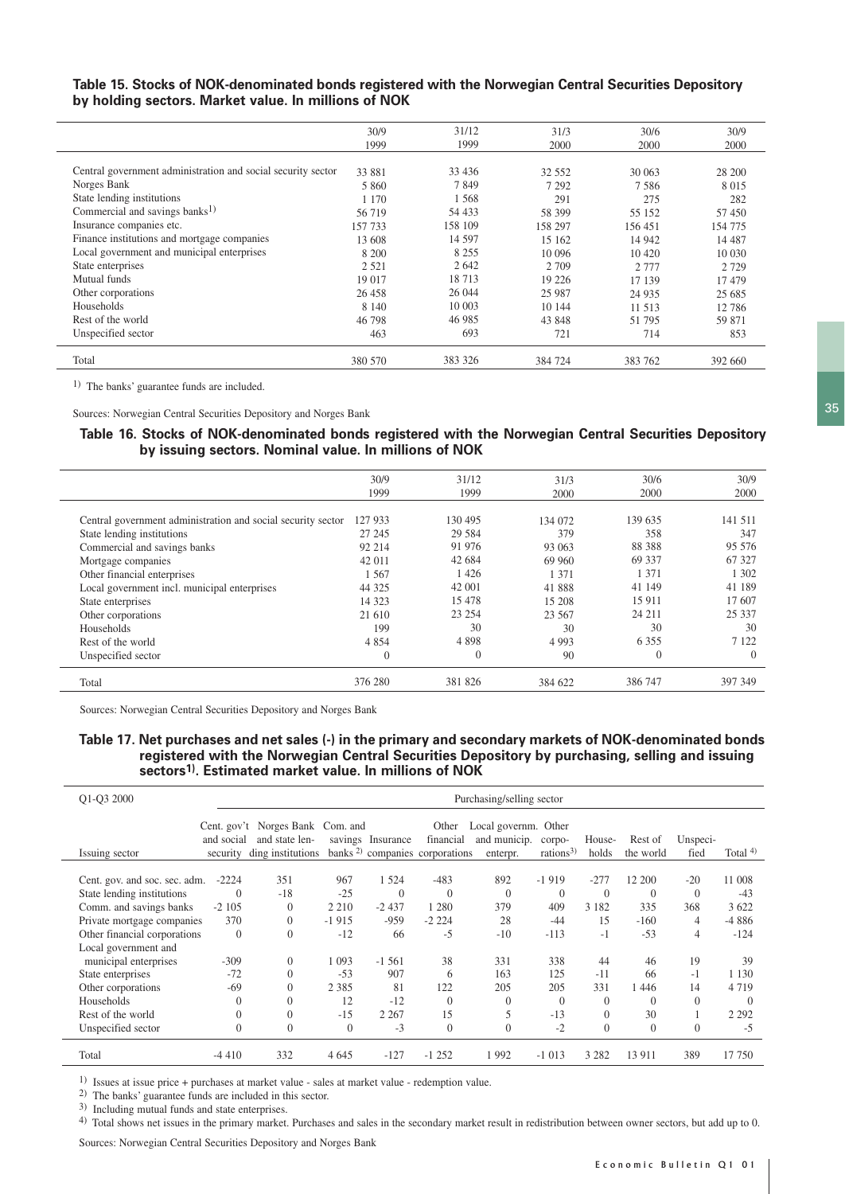### **Table 15. Stocks of NOK-denominated bonds registered with the Norwegian Central Securities Depository by holding sectors. Market value. In millions of NOK**

|                                                              | 30/9<br>1999 | 31/12<br>1999 | 31/3<br>2000 | 30/6<br>2000 | 30/9<br>2000 |
|--------------------------------------------------------------|--------------|---------------|--------------|--------------|--------------|
| Central government administration and social security sector | 33 881       | 33 4 36       | 32 552       | 30 063       | 28 200       |
| Norges Bank                                                  | 5 860        | 7849          | 7 2 9 2      | 7.586        | 8 0 1 5      |
| State lending institutions                                   | 1 1 7 0      | 1568          | 291          | 275          | 282          |
| Commercial and savings banks <sup>1)</sup>                   | 56 719       | 54 433        | 58 399       | 55 152       | 57 450       |
| Insurance companies etc.                                     | 157 733      | 158 109       | 158 297      | 156 451      | 154 775      |
| Finance institutions and mortgage companies                  | 13 608       | 14 5 97       | 15 162       | 14 942       | 14 4 8 7     |
| Local government and municipal enterprises                   | 8 200        | 8 2 5 5       | 10 096       | 10 4 20      | 10 0 30      |
| State enterprises                                            | 2 5 2 1      | 2642          | 2 7 0 9      | 2 7 7 7      | 2 7 2 9      |
| Mutual funds                                                 | 19 017       | 18713         | 19 2 2 6     | 17 139       | 17479        |
| Other corporations                                           | 26 458       | 26 044        | 25 9 87      | 24 9 35      | 25 685       |
| Households                                                   | 8 1 4 0      | 10 003        | 10 144       | 11 513       | 12 786       |
| Rest of the world                                            | 46 798       | 46 985        | 43 848       | 51 795       | 59 871       |
| Unspecified sector                                           | 463          | 693           | 721          | 714          | 853          |
| Total                                                        | 380 570      | 383 326       | 384 724      | 383 762      | 392 660      |

1) The banks' guarantee funds are included.

Sources: Norwegian Central Securities Depository and Norges Bank

#### **Table 16. Stocks of NOK-denominated bonds registered with the Norwegian Central Securities Depository by issuing sectors. Nominal value. In millions of NOK**

|                                                              | 30/9           | 31/12    | 31/3    | 30/6     | 30/9     |
|--------------------------------------------------------------|----------------|----------|---------|----------|----------|
|                                                              | 1999           | 1999     | 2000    | 2000     | 2000     |
|                                                              |                |          |         |          |          |
| Central government administration and social security sector | 127 933        | 130 495  | 134 072 | 139 635  | 141 511  |
| State lending institutions                                   | 27 24 5        | 29 5 84  | 379     | 358      | 347      |
| Commercial and savings banks                                 | 92 214         | 91 976   | 93 063  | 88 388   | 95 576   |
| Mortgage companies                                           | 42 011         | 42 684   | 69 960  | 69 337   | 67 327   |
| Other financial enterprises                                  | .567           | 1 4 2 6  | 1 371   | 1 3 7 1  | 1 302    |
| Local government incl. municipal enterprises                 | 44 325         | 42 001   | 41888   | 41 149   | 41 189   |
| State enterprises                                            | 14 3 23        | 15 478   | 15 208  | 15 9 11  | 17 607   |
| Other corporations                                           | 21 610         | 23 254   | 23 567  | 24 211   | 25 3 3 7 |
| Households                                                   | 199            | 30       | 30      | 30       | 30       |
| Rest of the world                                            | 4 8 5 4        | 4898     | 4 9 9 3 | 6 3 5 5  | 7 1 2 2  |
| Unspecified sector                                           | $\overline{0}$ | $\theta$ | 90      | $\theta$ | $\Omega$ |
| Total                                                        | 376 280        | 381 826  | 384 622 | 386 747  | 397 349  |
|                                                              |                |          |         |          |          |

Sources: Norwegian Central Securities Depository and Norges Bank

### **Table 17. Net purchases and net sales (-) in the primary and secondary markets of NOK-denominated bonds registered with the Norwegian Central Securities Depository by purchasing, selling and issuing sectors1). Estimated market value. In millions of NOK**

| Q1-Q3 2000                    | Purchasing/selling sector |                                                                         |                |                   |                                                                  |                                                  |                                |                 |                      |                  |             |
|-------------------------------|---------------------------|-------------------------------------------------------------------------|----------------|-------------------|------------------------------------------------------------------|--------------------------------------------------|--------------------------------|-----------------|----------------------|------------------|-------------|
| Issuing sector                | and social<br>security    | Cent. gov't Norges Bank Com. and<br>and state len-<br>ding institutions |                | savings Insurance | Other<br>financial<br>banks <sup>2)</sup> companies corporations | Local governm. Other<br>and municip.<br>enterpr. | corpo-<br>rations <sup>3</sup> | House-<br>holds | Rest of<br>the world | Unspeci-<br>fied | Total $4$ ) |
| Cent. gov. and soc. sec. adm. | $-2224$                   | 351                                                                     | 967            | 1 5 2 4           | $-483$                                                           | 892                                              | $-1919$                        | $-277$          | 12 200               | $-20$            | 11 008      |
| State lending institutions    | $\overline{0}$            | $-18$                                                                   | $-25$          | $\Omega$          | $\Omega$                                                         | $\Omega$                                         | $\theta$                       | $\Omega$        | $\Omega$             | $\theta$         | $-43$       |
| Comm. and savings banks       | $-2105$                   | $\Omega$                                                                | 2 2 1 0        | $-2437$           | 1 2 8 0                                                          | 379                                              | 409                            | 3 1 8 2         | 335                  | 368              | 3 6 2 2     |
| Private mortgage companies    | 370                       | $\theta$                                                                | $-1915$        | $-959$            | $-2224$                                                          | 28                                               | $-44$                          | 15              | $-160$               | 4                | $-4886$     |
| Other financial corporations  | $\overline{0}$            | $\theta$                                                                | $-12$          | 66                | $-5$                                                             | $-10$                                            | $-113$                         | $-1$            | $-53$                | 4                | $-124$      |
| Local government and          |                           |                                                                         |                |                   |                                                                  |                                                  |                                |                 |                      |                  |             |
| municipal enterprises         | $-309$                    | $\mathbf{0}$                                                            | 1 0 9 3        | $-1,561$          | 38                                                               | 331                                              | 338                            | 44              | 46                   | 19               | 39          |
| State enterprises             | $-72$                     | 0                                                                       | $-53$          | 907               | 6                                                                | 163                                              | 125                            | $-11$           | 66                   | $-1$             | 1 1 3 0     |
| Other corporations            | -69                       | $\theta$                                                                | 2 3 8 5        | 81                | 122                                                              | 205                                              | 205                            | 331             | 1446                 | 14               | 4719        |
| Households                    | $\Omega$                  | $\theta$                                                                | 12             | $-12$             | $\theta$                                                         | $\Omega$                                         | $\Omega$                       | $\Omega$        | $\Omega$             | $\Omega$         | $\Omega$    |
| Rest of the world             | $\mathbf{0}$              | $\theta$                                                                | $-15$          | 2 2 6 7           | 15                                                               | 5                                                | $-13$                          | $\Omega$        | 30                   |                  | 2 2 9 2     |
| Unspecified sector            | $\theta$                  | $\mathbf{0}$                                                            | $\overline{0}$ | $-3$              | $\mathbf{0}$                                                     | $\theta$                                         | $-2$                           | $\theta$        | $\theta$             | $\mathbf{0}$     | $-5$        |
| Total                         | $-4410$                   | 332                                                                     | 4 6 4 5        | $-127$            | $-1252$                                                          | 1992                                             | $-1013$                        | 3 2 8 2         | 13 9 11              | 389              | 17 750      |

1) Issues at issue price + purchases at market value - sales at market value - redemption value.

2) The banks' guarantee funds are included in this sector.

3) Including mutual funds and state enterprises.

4) Total shows net issues in the primary market. Purchases and sales in the secondary market result in redistribution between owner sectors, but add up to 0.

Sources: Norwegian Central Securities Depository and Norges Bank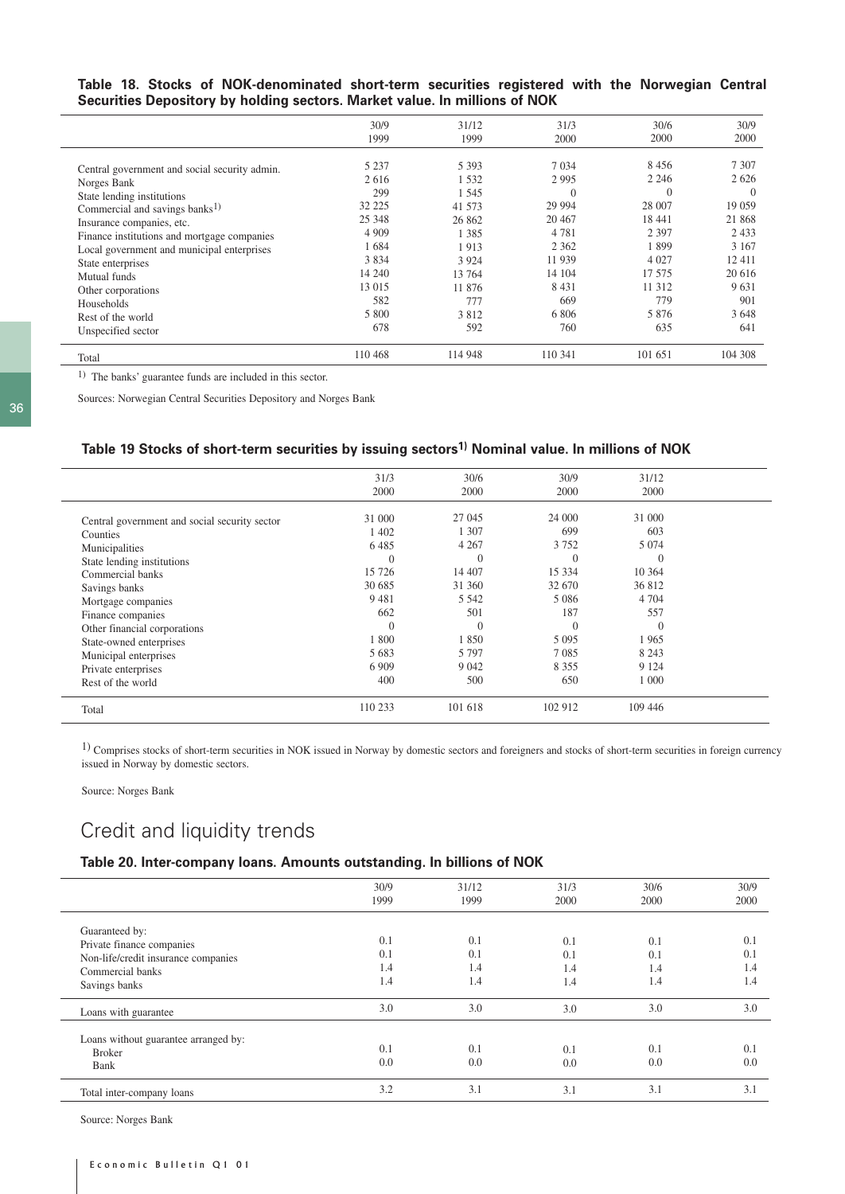**Table 18. Stocks of NOK-denominated short-term securities registered with the Norwegian Central Securities Depository by holding sectors. Market value. In millions of NOK**

|                                                                                                                                                                                                                                                                                                                                                                         | 30/9<br>1999                                                                                                     | 31/12<br>1999                                                                                                        | 31/3<br>2000                                                                                                                   | 30/6<br>2000                                                                                                               | 30/9<br>2000                                                                                                          |
|-------------------------------------------------------------------------------------------------------------------------------------------------------------------------------------------------------------------------------------------------------------------------------------------------------------------------------------------------------------------------|------------------------------------------------------------------------------------------------------------------|----------------------------------------------------------------------------------------------------------------------|--------------------------------------------------------------------------------------------------------------------------------|----------------------------------------------------------------------------------------------------------------------------|-----------------------------------------------------------------------------------------------------------------------|
| Central government and social security admin.<br>Norges Bank<br>State lending institutions<br>Commercial and savings banks <sup>1)</sup><br>Insurance companies, etc.<br>Finance institutions and mortgage companies<br>Local government and municipal enterprises<br>State enterprises<br>Mutual funds<br>Other corporations<br><b>Households</b><br>Rest of the world | 5 2 3 7<br>2616<br>299<br>32 225<br>25 348<br>4 9 0 9<br>1684<br>3834<br>14 240<br>13 015<br>582<br>5 800<br>678 | 5 3 9 3<br>1532<br>1 545<br>41 573<br>26 862<br>1 3 8 5<br>1913<br>3 9 2 4<br>13 764<br>11 876<br>777<br>3812<br>592 | 7 0 34<br>2995<br>$\theta$<br>29 9 94<br>20 4 67<br>4 7 8 1<br>2 3 6 2<br>11 939<br>14 104<br>8 4 3 1<br>669<br>6 8 0 6<br>760 | 8456<br>2 2 4 6<br>$\Omega$<br>28 007<br>18 441<br>2 3 9 7<br>1899<br>4 0 27<br>17 575<br>11 3 12<br>779<br>5 8 7 6<br>635 | 7 3 0 7<br>2626<br>$\Omega$<br>19 0 59<br>21 868<br>2433<br>3 1 6 7<br>12411<br>20 6 16<br>9631<br>901<br>3648<br>641 |
| Unspecified sector<br>Total                                                                                                                                                                                                                                                                                                                                             | 110 468                                                                                                          | 114 948                                                                                                              | 110 341                                                                                                                        | 101 651                                                                                                                    | 104 308                                                                                                               |

1) The banks' guarantee funds are included in this sector.

Sources: Norwegian Central Securities Depository and Norges Bank

### **Table 19 Stocks of short-term securities by issuing sectors1) Nominal value. In millions of NOK**

|                                               | 31/3     | 30/6     | 30/9     | 31/12   |  |
|-----------------------------------------------|----------|----------|----------|---------|--|
|                                               | 2000     | 2000     | 2000     | 2000    |  |
|                                               |          |          |          |         |  |
| Central government and social security sector | 31 000   | 27 045   | 24 000   | 31 000  |  |
| Counties                                      | 1 402    | 1 307    | 699      | 603     |  |
| Municipalities                                | 6 4 8 5  | 4 2 6 7  | 3 7 5 2  | 5 0 7 4 |  |
| State lending institutions                    | 0        | $\Omega$ | $\Omega$ |         |  |
| Commercial banks                              | 15 726   | 14 407   | 15 3 3 4 | 10 364  |  |
| Savings banks                                 | 30 685   | 31 360   | 32 670   | 36 812  |  |
| Mortgage companies                            | 9 4 8 1  | 5 5 4 2  | 5 0 8 6  | 4 7 0 4 |  |
| Finance companies                             | 662      | 501      | 187      | 557     |  |
| Other financial corporations                  | $\Omega$ | $\Omega$ | $\theta$ |         |  |
| State-owned enterprises                       | 1 800    | 1850     | 5 0 9 5  | 1965    |  |
| Municipal enterprises                         | 5 683    | 5 7 9 7  | 7 0 8 5  | 8 2 4 3 |  |
| Private enterprises                           | 6 9 0 9  | 9 0 4 2  | 8 3 5 5  | 9 1 2 4 |  |
| Rest of the world                             | 400      | 500      | 650      | 1 0 0 0 |  |
| Total                                         | 110 233  | 101 618  | 102 912  | 109 446 |  |

1) Comprises stocks of short-term securities in NOK issued in Norway by domestic sectors and foreigners and stocks of short-term securities in foreign currency issued in Norway by domestic sectors.

Source: Norges Bank

# Credit and liquidity trends

# **Table 20. Inter-company loans. Amounts outstanding. In billions of NOK**

|                                                                                                                         | 30/9<br>1999             | 31/12<br>1999            | 31/3<br>2000             | 30/6<br>2000               | 30/9<br>2000             |
|-------------------------------------------------------------------------------------------------------------------------|--------------------------|--------------------------|--------------------------|----------------------------|--------------------------|
| Guaranteed by:<br>Private finance companies<br>Non-life/credit insurance companies<br>Commercial banks<br>Savings banks | 0.1<br>0.1<br>1.4<br>1.4 | 0.1<br>0.1<br>1.4<br>1.4 | 0.1<br>0.1<br>1.4<br>1.4 | 0.1<br>(0.1)<br>1.4<br>1.4 | 0.1<br>0.1<br>1.4<br>1.4 |
| Loans with guarantee                                                                                                    | 3.0                      | 3.0                      | 3.0                      | 3.0                        | 3.0                      |
| Loans without guarantee arranged by:<br><b>Broker</b><br>Bank                                                           | 0.1<br>0.0               | 0.1<br>0.0               | 0.1<br>0.0               | 0.1<br>0.0                 | 0.1<br>0.0               |
| Total inter-company loans                                                                                               | 3.2                      | 3.1                      | 3.1                      | 3.1                        | 3.1                      |
|                                                                                                                         |                          |                          |                          |                            |                          |

Source: Norges Bank

 $\overline{\phantom{0}}$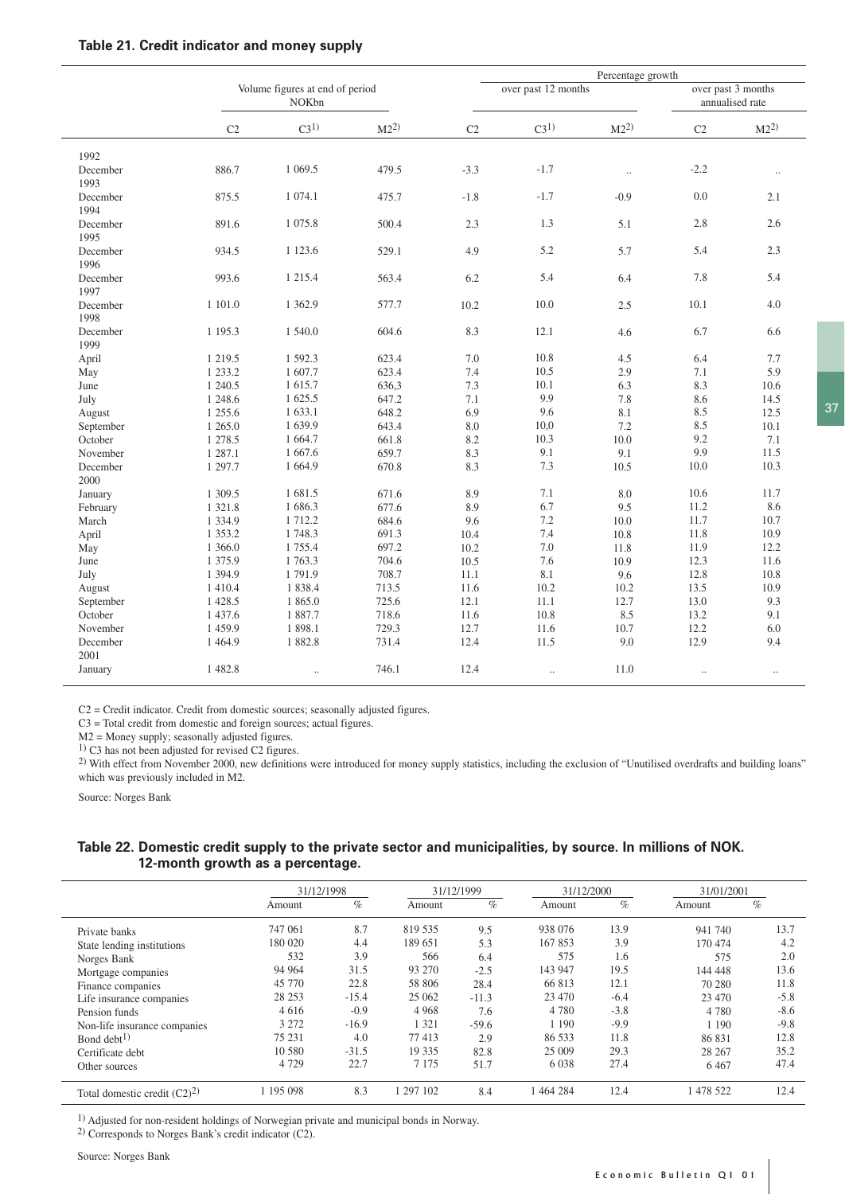| Table 21. Credit indicator and money supply |  |  |  |  |  |  |
|---------------------------------------------|--|--|--|--|--|--|
|---------------------------------------------|--|--|--|--|--|--|

|                  |                |                                          |          |        |                     |          | Percentage growth    |                                       |  |  |
|------------------|----------------|------------------------------------------|----------|--------|---------------------|----------|----------------------|---------------------------------------|--|--|
|                  |                | Volume figures at end of period<br>NOKbn |          |        | over past 12 months |          |                      | over past 3 months<br>annualised rate |  |  |
|                  | C <sub>2</sub> | C3 <sup>1</sup>                          | $M2^{2}$ | C2     | C3 <sup>1</sup>     | $M2^{2}$ | C <sub>2</sub>       | M2 <sup>2</sup>                       |  |  |
| 1992             |                |                                          |          |        |                     |          |                      |                                       |  |  |
| December<br>1993 | 886.7          | 1 0 69.5                                 | 479.5    | $-3.3$ | $-1.7$              | $\ldots$ | $-2.2$               | $\ddotsc$                             |  |  |
| December<br>1994 | 875.5          | 1 074.1                                  | 475.7    | $-1.8$ | $-1.7$              | $-0.9$   | 0.0                  | 2.1                                   |  |  |
| December<br>1995 | 891.6          | 1 0 7 5 .8                               | 500.4    | 2.3    | 1.3                 | 5.1      | 2.8                  | 2.6                                   |  |  |
| December<br>1996 | 934.5          | 1 1 2 3 . 6                              | 529.1    | 4.9    | 5.2                 | 5.7      | 5.4                  | 2.3                                   |  |  |
| December<br>1997 | 993.6          | 1 2 1 5 .4                               | 563.4    | 6.2    | 5.4                 | 6.4      | 7.8                  | 5.4                                   |  |  |
| December<br>1998 | 1 101.0        | 1 3 6 2.9                                | 577.7    | 10.2   | 10.0                | $2.5\,$  | 10.1                 | 4.0                                   |  |  |
| December<br>1999 | 1 1 9 5 . 3    | 1 540.0                                  | 604.6    | 8.3    | 12.1                | 4.6      | 6.7                  | 6.6                                   |  |  |
| April            | 1 2 1 9 . 5    | 1 592.3                                  | 623.4    | 7.0    | 10.8                | 4.5      | 6.4                  | 7.7                                   |  |  |
| May              | 1 2 3 3 . 2    | 1 607.7                                  | 623.4    | 7.4    | 10.5                | 2.9      | 7.1                  | 5.9                                   |  |  |
| June             | 1 240.5        | 1 615.7                                  | 636,3    | 7.3    | 10.1                | 6.3      | 8.3                  | 10.6                                  |  |  |
| July             | 1 248.6        | 1 625.5                                  | 647.2    | 7.1    | 9.9                 | 7.8      | 8.6                  | 14.5                                  |  |  |
| August           | 1 255.6        | 1 633.1                                  | 648.2    | 6.9    | 9.6                 | 8.1      | 8.5                  | 12.5                                  |  |  |
| September        | 1 2 6 5 .0     | 1 639.9                                  | 643.4    | 8.0    | 10,0                | 7.2      | 8.5                  | 10.1                                  |  |  |
| October          | 1 278.5        | 1 664.7                                  | 661.8    | 8.2    | 10.3                | 10.0     | 9.2                  | 7.1                                   |  |  |
| November         | 1 287.1        | 1 667.6                                  | 659.7    | 8.3    | 9.1                 | 9.1      | 9.9                  | 11.5                                  |  |  |
| December<br>2000 | 1 297.7        | 1 664.9                                  | 670.8    | 8.3    | 7.3                 | 10.5     | 10.0                 | 10.3                                  |  |  |
| January          | 1 309.5        | 1 681.5                                  | 671.6    | 8.9    | 7.1                 | 8.0      | 10.6                 | 11.7                                  |  |  |
| February         | 1 3 2 1 .8     | 1 686.3                                  | 677.6    | 8.9    | 6.7                 | 9.5      | 11.2                 | 8.6                                   |  |  |
| March            | 1 3 3 4 .9     | 1 7 1 2 . 2                              | 684.6    | 9.6    | 7.2                 | 10.0     | 11.7                 | 10.7                                  |  |  |
| April            | 1 3 5 3 . 2    | 1 748.3                                  | 691.3    | 10.4   | 7.4                 | 10.8     | 11.8                 | 10.9                                  |  |  |
| May              | 1 366.0        | 1 755.4                                  | 697.2    | 10.2   | 7.0                 | 11.8     | 11.9                 | 12.2                                  |  |  |
| June             | 1 3 7 5 .9     | 1 763.3                                  | 704.6    | 10.5   | 7.6                 | 10.9     | 12.3                 | 11.6                                  |  |  |
| July             | 1 3 9 4 9      | 1791.9                                   | 708.7    | 11.1   | 8.1                 | 9.6      | 12.8                 | 10.8                                  |  |  |
| August           | 1 4 1 0 .4     | 1838.4                                   | 713.5    | 11.6   | 10.2                | 10.2     | 13.5                 | 10.9                                  |  |  |
| September        | 1 4 28.5       | 1 865.0                                  | 725.6    | 12.1   | 11.1                | 12.7     | 13.0                 | 9.3                                   |  |  |
| October          | 1 437.6        | 1887.7                                   | 718.6    | 11.6   | 10.8                | 8.5      | 13.2                 | 9.1                                   |  |  |
| November         | 1 459.9        | 1 898.1                                  | 729.3    | 12.7   | 11.6                | 10.7     | 12.2                 | 6.0                                   |  |  |
| December<br>2001 | 1 4 6 4.9      | 1882.8                                   | 731.4    | 12.4   | 11.5                | 9.0      | 12.9                 | 9.4                                   |  |  |
| January          | 1 4 8 2.8      | $\ddotsc$                                | 746.1    | 12.4   | $\ddotsc$           | 11.0     | $\ddot{\phantom{a}}$ | $\ddotsc$                             |  |  |

C2 = Credit indicator. Credit from domestic sources; seasonally adjusted figures.

C3 = Total credit from domestic and foreign sources; actual figures.

 $M2$  = Money supply; seasonally adjusted figures.<br><sup>1)</sup> C3 has not been adjusted for revised C2 figures.

<sup>2)</sup> With effect from November 2000, new definitions were introduced for money supply statistics, including the exclusion of "Unutilised overdrafts and building loans" which was previously included in M2.

Source: Norges Bank

# **Table 22. Domestic credit supply to the private sector and municipalities, by source. In millions of NOK. 12-month growth as a percentage.**

|                                | 31/12/1998 |         |           | 31/12/1999 | 31/12/2000 |        | 31/01/2001 |        |
|--------------------------------|------------|---------|-----------|------------|------------|--------|------------|--------|
|                                | Amount     | %       | Amount    | $\%$       | Amount     | %      | Amount     | %      |
| Private banks                  | 747 061    | 8.7     | 819 535   | 9.5        | 938 076    | 13.9   | 941 740    | 13.7   |
| State lending institutions     | 180 020    | 4.4     | 189 651   | 5.3        | 167853     | 3.9    | 170 474    | 4.2    |
| Norges Bank                    | 532        | 3.9     | 566       | 6.4        | 575        | 1.6    | 575        | 2.0    |
| Mortgage companies             | 94 964     | 31.5    | 93 270    | $-2.5$     | 143 947    | 19.5   | 144 448    | 13.6   |
| Finance companies              | 45 770     | 22.8    | 58 806    | 28.4       | 66 813     | 12.1   | 70 280     | 11.8   |
| Life insurance companies       | 28 25 3    | $-15.4$ | 25 062    | $-11.3$    | 23 470     | $-6.4$ | 23 470     | $-5.8$ |
| Pension funds                  | 4 6 1 6    | $-0.9$  | 4 9 6 8   | 7.6        | 4 7 8 0    | $-3.8$ | 4 7 8 0    | $-8.6$ |
| Non-life insurance companies   | 3 2 7 2    | $-16.9$ | 321       | $-59.6$    | 1 1 9 0    | $-9.9$ | 1 1 9 0    | $-9.8$ |
| Bond debt <sup>1)</sup>        | 75 231     | 4.0     | 77413     | 2.9        | 86 533     | 11.8   | 86 831     | 12.8   |
| Certificate debt               | 10 580     | $-31.5$ | 19 3 35   | 82.8       | 25 009     | 29.3   | 28 267     | 35.2   |
| Other sources                  | 4 7 2 9    | 22.7    | 7 1 7 5   | 51.7       | 6 0 38     | 27.4   | 6 4 6 7    | 47.4   |
| Total domestic credit $(C2)^2$ | 195 098    | 8.3     | 1 297 102 | 8.4        | 464 284    | 12.4   | 1 478 522  | 12.4   |

1) Adjusted for non-resident holdings of Norwegian private and municipal bonds in Norway.

2) Corresponds to Norges Bank's credit indicator (C2).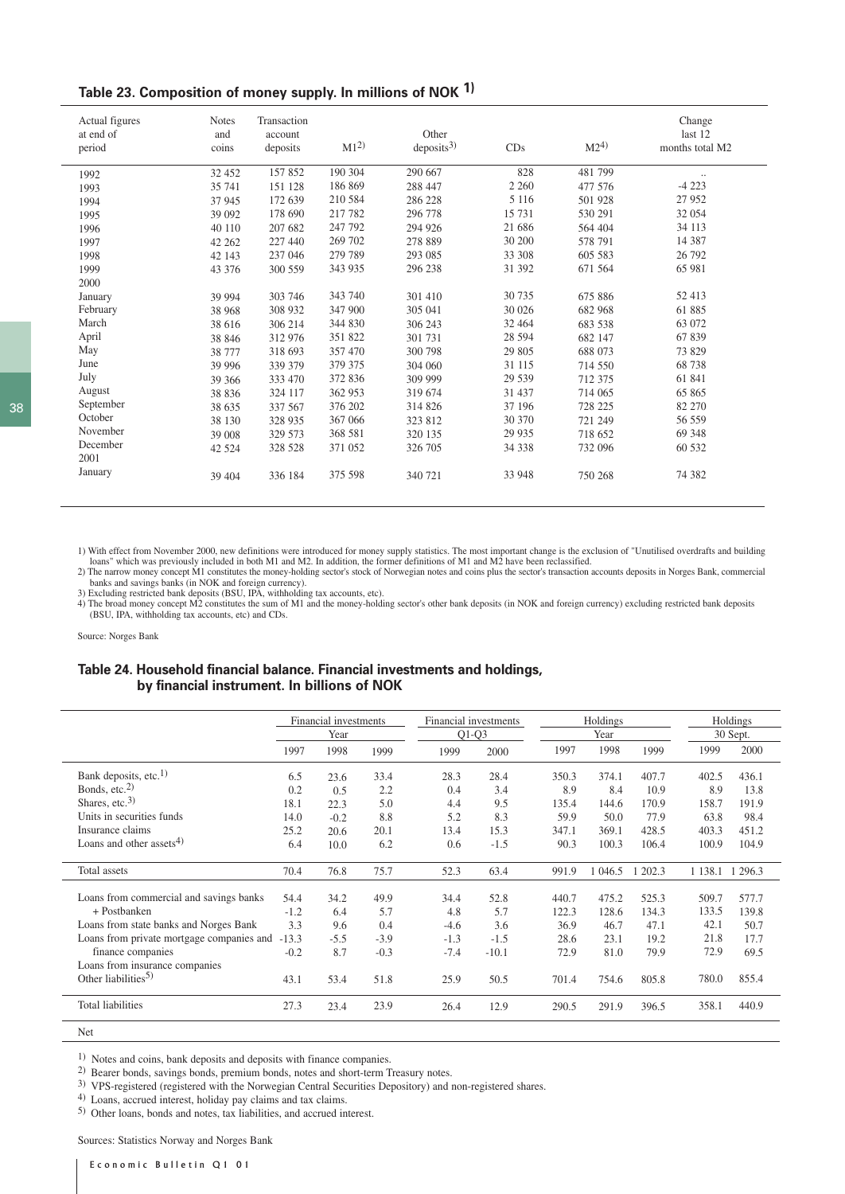| Table 23. Composition of money supply. In millions of NOK 1) |  |  |  |
|--------------------------------------------------------------|--|--|--|
|--------------------------------------------------------------|--|--|--|

| Actual figures<br>at end of<br>period | <b>Notes</b><br>and<br>coins | Transaction<br>account<br>deposits | $M1^{2}$ | Other<br>deposits <sup>3</sup> | CDs     | $M2^{(4)}$ | Change<br>last 12<br>months total M2 |
|---------------------------------------|------------------------------|------------------------------------|----------|--------------------------------|---------|------------|--------------------------------------|
| 1992                                  | 32 452                       | 157852                             | 190 304  | 290 667                        | 828     | 481799     | $\cdot \cdot$                        |
| 1993                                  | 35 741                       | 151 128                            | 186 869  | 288 447                        | 2 2 6 0 | 477 576    | $-4223$                              |
| 1994                                  | 37 945                       | 172 639                            | 210 584  | 286 228                        | 5 1 1 6 | 501 928    | 27 952                               |
| 1995                                  | 39 092                       | 178 690                            | 217 782  | 296 778                        | 15 731  | 530 291    | 32 054                               |
| 1996                                  | 40 110                       | 207 682                            | 247 792  | 294 926                        | 21 68 6 | 564 404    | 34 113                               |
| 1997                                  | 42 262                       | 227 440                            | 269 702  | 278 889                        | 30 200  | 578 791    | 14 387                               |
| 1998                                  | 42 143                       | 237 046                            | 279 789  | 293 085                        | 33 308  | 605 583    | 26 792                               |
| 1999                                  | 43 376                       | 300 559                            | 343 935  | 296 238                        | 31 392  | 671 564    | 65 981                               |
| 2000                                  |                              |                                    |          |                                |         |            |                                      |
| January                               | 39 994                       | 303 746                            | 343 740  | 301 410                        | 30 735  | 675 886    | 52 413                               |
| February                              | 38 968                       | 308 932                            | 347 900  | 305 041                        | 30 0 26 | 682 968    | 61885                                |
| March                                 | 38 616                       | 306 214                            | 344 830  | 306 243                        | 32 4 64 | 683 538    | 63 072                               |
| April                                 | 38 846                       | 312 976                            | 351 822  | 301 731                        | 28 5 94 | 682 147    | 67839                                |
| May                                   | 38 777                       | 318 693                            | 357 470  | 300 798                        | 29 805  | 688 073    | 73 829                               |
| June                                  | 39 996                       | 339 379                            | 379 375  | 304 060                        | 31 115  | 714 550    | 68738                                |
| July                                  | 39 36 6                      | 333 470                            | 372 836  | 309 999                        | 29 539  | 712 375    | 61 841                               |
| August                                | 38 8 36                      | 324 117                            | 362 953  | 319 674                        | 31 437  | 714 065    | 65 865                               |
| September                             | 38 635                       | 337 567                            | 376 202  | 314 826                        | 37 196  | 728 225    | 82 270                               |
| October                               | 38 130                       | 328 935                            | 367 066  | 323 812                        | 30 370  | 721 249    | 56 559                               |
| November                              | 39 008                       | 329 573                            | 368 581  | 320 135                        | 29 9 35 | 718 652    | 69 348                               |
| December<br>2001                      | 42 5 24                      | 328 528                            | 371 052  | 326 705                        | 34 338  | 732 096    | 60 532                               |
| January                               | 39 404                       | 336 184                            | 375 598  | 340 721                        | 33 948  | 750 268    | 74 382                               |

1) With effect from November 2000, new definitions were introduced for money supply statistics. The most important change is the exclusion of "Unutilised overdrafts and building loans" which was previously included in both

2) The narrow money concept M1 constitutes the money-holding sector's stock of Norwegian notes and coins plus the sector's transaction accounts deposits in Norges Bank, commercial banks and savings banks (in NOK and foreign currency). 3) Excluding restricted bank deposits (BSU, IPA, withholding tax accounts, etc).

4) The broad money concept M2 constitutes the sum of M1 and the money-holding sector's other bank deposits (in NOK and foreign currency) excluding restricted bank deposits (BSU, IPA, withholding tax accounts, etc) and CDs.

Source: Norges Bank

## **Table 24. Household financial balance. Financial investments and holdings, by financial instrument. In billions of NOK**

|                                           | Financial investments<br>Year |        | Financial investments<br>$Q1-Q3$ |        |         | Holdings<br>Year |         |         | Holdings<br>30 Sept. |       |
|-------------------------------------------|-------------------------------|--------|----------------------------------|--------|---------|------------------|---------|---------|----------------------|-------|
|                                           | 1997                          | 1998   | 1999                             | 1999   | 2000    | 1997             | 1998    | 1999    | 1999                 | 2000  |
| Bank deposits, etc. <sup>1)</sup>         | 6.5                           | 23.6   | 33.4                             | 28.3   | 28.4    | 350.3            | 374.1   | 407.7   | 402.5                | 436.1 |
| Bonds, etc. <sup>2)</sup>                 | 0.2                           | 0.5    | 2.2                              | 0.4    | 3.4     | 8.9              | 8.4     | 10.9    | 8.9                  | 13.8  |
| Shares, etc. $3)$                         | 18.1                          | 22.3   | 5.0                              | 4.4    | 9.5     | 135.4            | 144.6   | 170.9   | 158.7                | 191.9 |
| Units in securities funds                 | 14.0                          | $-0.2$ | 8.8                              | 5.2    | 8.3     | 59.9             | 50.0    | 77.9    | 63.8                 | 98.4  |
| Insurance claims                          | 25.2                          | 20.6   | 20.1                             | 13.4   | 15.3    | 347.1            | 369.1   | 428.5   | 403.3                | 451.2 |
| Loans and other assets <sup>4)</sup>      | 6.4                           | 10.0   | 6.2                              | 0.6    | $-1.5$  | 90.3             | 100.3   | 106.4   | 100.9                | 104.9 |
| Total assets                              | 70.4                          | 76.8   | 75.7                             | 52.3   | 63.4    | 991.9            | 1 046.5 | 1 202.3 | 1 1 38.1 1 2 9 6.3   |       |
| Loans from commercial and savings banks   | 54.4                          | 34.2   | 49.9                             | 34.4   | 52.8    | 440.7            | 475.2   | 525.3   | 509.7                | 577.7 |
| + Postbanken                              | $-1.2$                        | 6.4    | 5.7                              | 4.8    | 5.7     | 122.3            | 128.6   | 134.3   | 133.5                | 139.8 |
| Loans from state banks and Norges Bank    | 3.3                           | 9.6    | 0.4                              | $-4.6$ | 3.6     | 36.9             | 46.7    | 47.1    | 42.1                 | 50.7  |
| Loans from private mortgage companies and | $-13.3$                       | $-5.5$ | $-3.9$                           | $-1.3$ | $-1.5$  | 28.6             | 23.1    | 19.2    | 21.8                 | 17.7  |
| finance companies                         | $-0.2$                        | 8.7    | $-0.3$                           | $-7.4$ | $-10.1$ | 72.9             | 81.0    | 79.9    | 72.9                 | 69.5  |
| Loans from insurance companies            |                               |        |                                  |        |         |                  |         |         |                      |       |
| Other liabilities <sup>5)</sup>           | 43.1                          | 53.4   | 51.8                             | 25.9   | 50.5    | 701.4            | 754.6   | 805.8   | 780.0                | 855.4 |
| <b>Total liabilities</b>                  | 27.3                          | 23.4   | 23.9                             | 26.4   | 12.9    | 290.5            | 291.9   | 396.5   | 358.1                | 440.9 |

Net

<sup>1)</sup> Notes and coins, bank deposits and deposits with finance companies.

2) Bearer bonds, savings bonds, premium bonds, notes and short-term Treasury notes.

3) VPS-registered (registered with the Norwegian Central Securities Depository) and non-registered shares.

4) Loans, accrued interest, holiday pay claims and tax claims.

5) Other loans, bonds and notes, tax liabilities, and accrued interest.

Sources: Statistics Norway and Norges Bank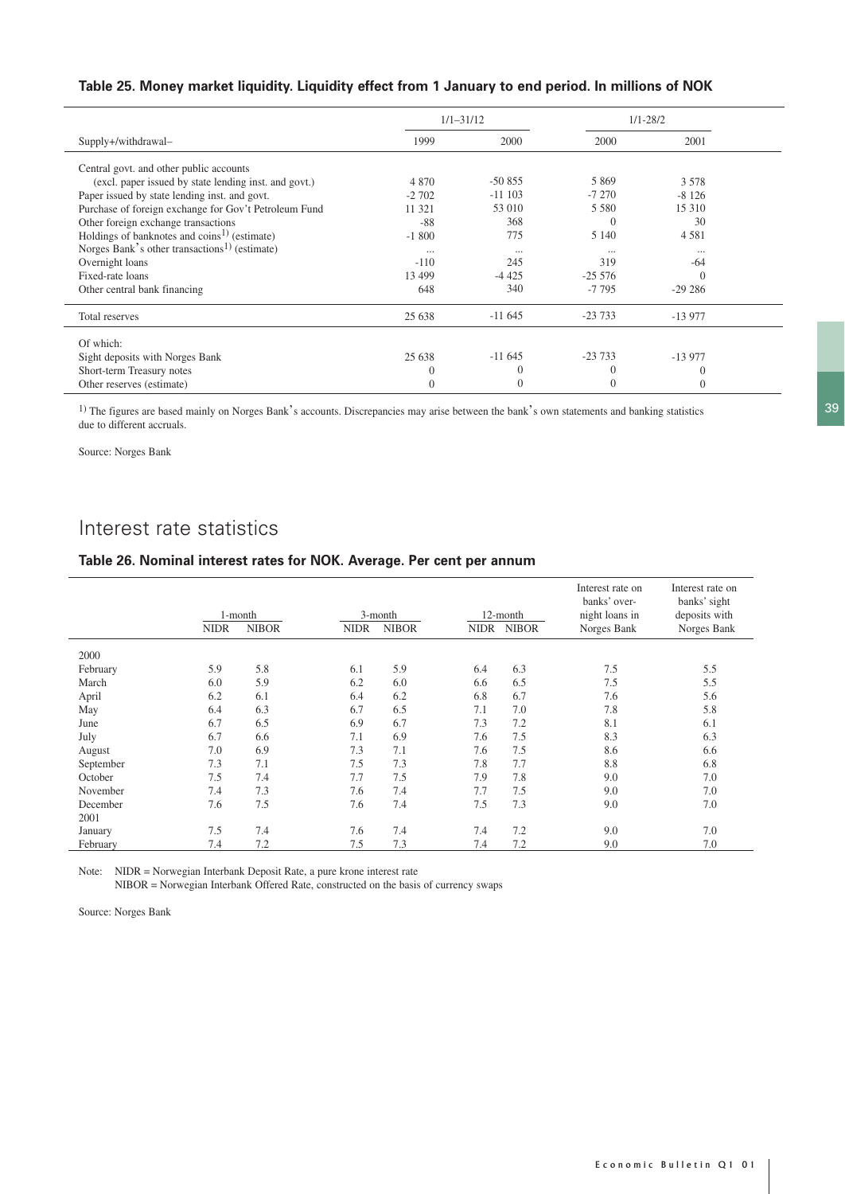# **Table 25. Money market liquidity. Liquidity effect from 1 January to end period. In millions of NOK**

|                                                           |          | $1/1 - 31/12$ |           | $1/1 - 28/2$ |  |
|-----------------------------------------------------------|----------|---------------|-----------|--------------|--|
| Supply+/withdrawal-                                       | 1999     | 2000          | 2000      | 2001         |  |
| Central govt. and other public accounts                   |          |               |           |              |  |
| (excl. paper issued by state lending inst. and govt.)     | 4 8 7 0  | $-50855$      | 5 8 6 9   | 3 5 7 8      |  |
| Paper issued by state lending inst. and govt.             | $-2702$  | $-11$ 103     | $-7270$   | $-8126$      |  |
| Purchase of foreign exchange for Gov't Petroleum Fund     | 11 321   | 53 010        | 5 5 8 0   | 15 310       |  |
| Other foreign exchange transactions                       | $-88$    | 368           | $\Omega$  | 30           |  |
| Holdings of banknotes and coins <sup>1)</sup> (estimate)  | $-1800$  | 775           | 5 1 4 0   | 4581         |  |
| Norges Bank's other transactions <sup>1)</sup> (estimate) | $\cdots$ | $\cdots$      | $\cdots$  | $\cdots$     |  |
| Overnight loans                                           | $-110$   | 245           | 319       | $-64$        |  |
| Fixed-rate loans                                          | 13 499   | $-4425$       | $-255576$ | C            |  |
| Other central bank financing                              | 648      | 340           | $-7795$   | $-29286$     |  |
| Total reserves                                            | 25 638   | $-11645$      | $-23733$  | $-13977$     |  |
| Of which:                                                 |          |               |           |              |  |
| Sight deposits with Norges Bank                           | 25 638   | $-11645$      | $-23733$  | $-13977$     |  |
| Short-term Treasury notes                                 | $\theta$ | $\bigcap$     | $\Omega$  | $\Omega$     |  |
| Other reserves (estimate)                                 | $\Omega$ | $\Omega$      | $\Omega$  | $\theta$     |  |

<sup>1)</sup> The figures are based mainly on Norges Bank's accounts. Discrepancies may arise between the bank's own statements and banking statistics due to different accruals.

Source: Norges Bank

# Interest rate statistics

# **Table 26. Nominal interest rates for NOK. Average. Per cent per annum**

|           | <b>NIDR</b> | 1-month<br><b>NIBOR</b> | <b>NIDR</b> | 3-month<br><b>NIBOR</b> |     | 12-month<br>NIDR NIBOR | Interest rate on<br>banks' over-<br>night loans in<br>Norges Bank | Interest rate on<br>banks' sight<br>deposits with<br>Norges Bank |
|-----------|-------------|-------------------------|-------------|-------------------------|-----|------------------------|-------------------------------------------------------------------|------------------------------------------------------------------|
| 2000      |             |                         |             |                         |     |                        |                                                                   |                                                                  |
| February  | 5.9         | 5.8                     | 6.1         | 5.9                     | 6.4 | 6.3                    | 7.5                                                               | 5.5                                                              |
| March     | 6.0         | 5.9                     | 6.2         | 6.0                     | 6.6 | 6.5                    | 7.5                                                               | 5.5                                                              |
| April     | 6.2         | 6.1                     | 6.4         | 6.2                     | 6.8 | 6.7                    | 7.6                                                               | 5.6                                                              |
| May       | 6.4         | 6.3                     | 6.7         | 6.5                     | 7.1 | 7.0                    | 7.8                                                               | 5.8                                                              |
| June      | 6.7         | 6.5                     | 6.9         | 6.7                     | 7.3 | 7.2                    | 8.1                                                               | 6.1                                                              |
| July      | 6.7         | 6.6                     | 7.1         | 6.9                     | 7.6 | 7.5                    | 8.3                                                               | 6.3                                                              |
| August    | 7.0         | 6.9                     | 7.3         | 7.1                     | 7.6 | 7.5                    | 8.6                                                               | 6.6                                                              |
| September | 7.3         | 7.1                     | 7.5         | 7.3                     | 7.8 | 7.7                    | 8.8                                                               | 6.8                                                              |
| October   | 7.5         | 7.4                     | 7.7         | 7.5                     | 7.9 | 7.8                    | 9.0                                                               | 7.0                                                              |
| November  | 7.4         | 7.3                     | 7.6         | 7.4                     | 7.7 | 7.5                    | 9.0                                                               | 7.0                                                              |
| December  | 7.6         | 7.5                     | 7.6         | 7.4                     | 7.5 | 7.3                    | 9.0                                                               | 7.0                                                              |
| 2001      |             |                         |             |                         |     |                        |                                                                   |                                                                  |
| January   | 7.5         | 7.4                     | 7.6         | 7.4                     | 7.4 | 7.2                    | 9.0                                                               | 7.0                                                              |
| February  | 7.4         | 7.2                     | 7.5         | 7.3                     | 7.4 | 7.2                    | 9.0                                                               | 7.0                                                              |

Note: NIDR = Norwegian Interbank Deposit Rate, a pure krone interest rate

NIBOR = Norwegian Interbank Offered Rate, constructed on the basis of currency swaps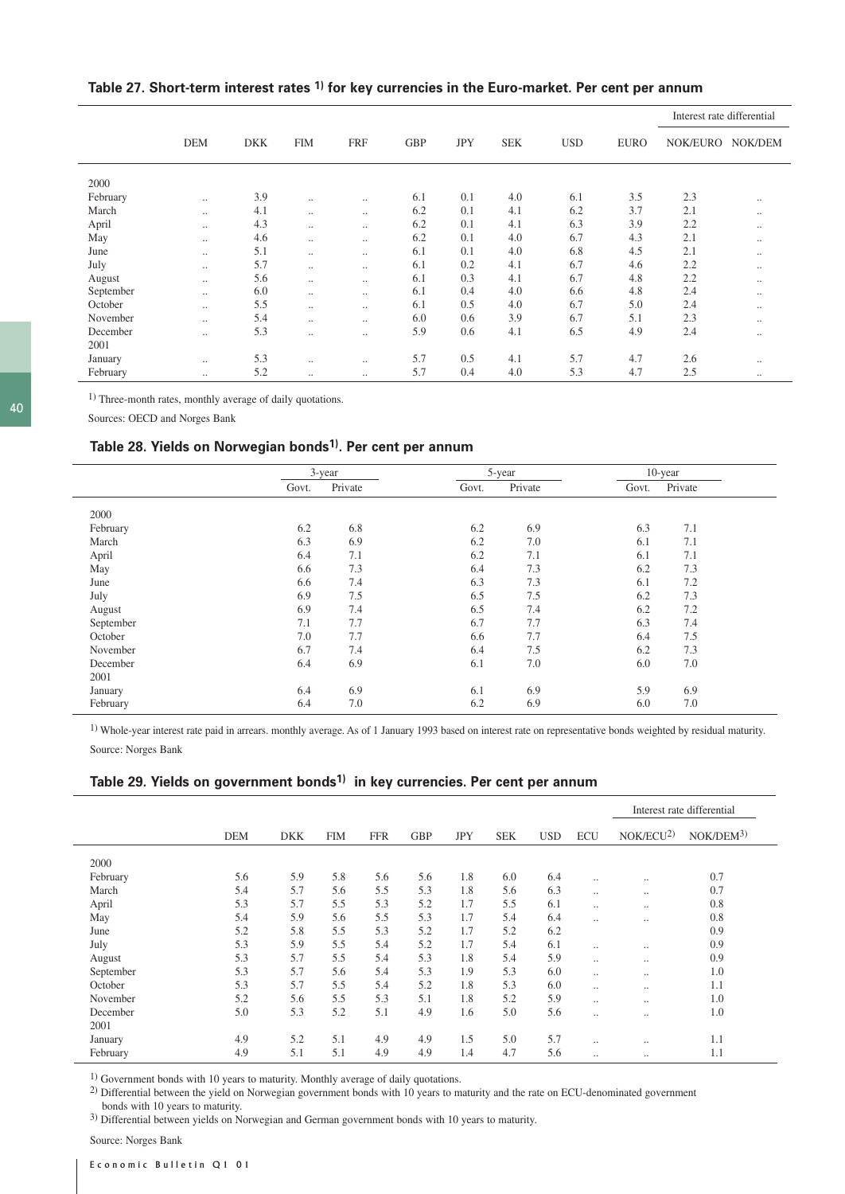# **Table 27. Short-term interest rates 1) for key currencies in the Euro-market. Per cent per annum**

|           |               |            |            |            |            |            |            |            |             | Interest rate differential |          |
|-----------|---------------|------------|------------|------------|------------|------------|------------|------------|-------------|----------------------------|----------|
|           | <b>DEM</b>    | <b>DKK</b> | <b>FIM</b> | <b>FRF</b> | <b>GBP</b> | <b>JPY</b> | <b>SEK</b> | <b>USD</b> | <b>EURO</b> | NOK/EURO                   | NOK/DEM  |
| 2000      |               |            |            |            |            |            |            |            |             |                            |          |
| February  | $\cdot \cdot$ | 3.9        | $\ddotsc$  | $\ddotsc$  | 6.1        | 0.1        | 4.0        | 6.1        | 3.5         | 2.3                        |          |
| March     | $\cdot \cdot$ | 4.1        | $\ldots$   |            | 6.2        | 0.1        | 4.1        | 6.2        | 3.7         | 2.1                        | $\cdots$ |
| April     | $\cdot \cdot$ | 4.3        | $\ddotsc$  | $\ddotsc$  | 6.2        | 0.1        | 4.1        | 6.3        | 3.9         | 2.2                        |          |
| May       | $\cdot \cdot$ | 4.6        | $\ddotsc$  | $\ddotsc$  | 6.2        | 0.1        | 4.0        | 6.7        | 4.3         | 2.1                        |          |
| June      |               | 5.1        | $\ddotsc$  | $\ddotsc$  | 6.1        | 0.1        | 4.0        | 6.8        | 4.5         | 2.1                        | $\cdots$ |
| July      | $\cdot \cdot$ | 5.7        | $\ddotsc$  | $\ddotsc$  | 6.1        | 0.2        | 4.1        | 6.7        | 4.6         | 2.2                        | $\cdots$ |
| August    | $\cdot \cdot$ | 5.6        | $\ddotsc$  | $\ddotsc$  | 6.1        | 0.3        | 4.1        | 6.7        | 4.8         | 2.2                        |          |
| September | $\cdot \cdot$ | 6.0        | $\ddotsc$  | $\ddotsc$  | 6.1        | 0.4        | 4.0        | 6.6        | 4.8         | 2.4                        |          |
| October   | $\cdot \cdot$ | 5.5        | $\cdots$   | $\ddotsc$  | 6.1        | 0.5        | 4.0        | 6.7        | 5.0         | 2.4                        | $\cdots$ |
| November  | $\cdot$ .     | 5.4        | $\ddotsc$  | $\ddotsc$  | 6.0        | 0.6        | 3.9        | 6.7        | 5.1         | 2.3                        |          |
| December  |               | 5.3        | $\cdots$   |            | 5.9        | 0.6        | 4.1        | 6.5        | 4.9         | 2.4                        |          |
| 2001      |               |            |            |            |            |            |            |            |             |                            |          |
| January   | $\cdot \cdot$ | 5.3        | $\ddotsc$  |            | 5.7        | 0.5        | 4.1        | 5.7        | 4.7         | 2.6                        | $\cdots$ |
| February  | $\cdot \cdot$ | 5.2        | $\ddotsc$  | $\ddotsc$  | 5.7        | 0.4        | 4.0        | 5.3        | 4.7         | 2.5                        |          |

1) Three-month rates, monthly average of daily quotations.

Sources: OECD and Norges Bank

# **Table 28. Yields on Norwegian bonds1). Per cent per annum**

|           | $3 - year$ |         |       | 5-year  |       | $10$ -year |  |
|-----------|------------|---------|-------|---------|-------|------------|--|
|           | Govt.      | Private | Govt. | Private | Govt. | Private    |  |
| 2000      |            |         |       |         |       |            |  |
| February  | 6.2        | 6.8     | 6.2   | 6.9     | 6.3   | 7.1        |  |
| March     | 6.3        | 6.9     | 6.2   | 7.0     | 6.1   | 7.1        |  |
| April     | 6.4        | 7.1     | 6.2   | 7.1     | 6.1   | 7.1        |  |
| May       | 6.6        | 7.3     | 6.4   | 7.3     | 6.2   | 7.3        |  |
| June      | 6.6        | 7.4     | 6.3   | 7.3     | 6.1   | 7.2        |  |
| July      | 6.9        | 7.5     | 6.5   | 7.5     | 6.2   | 7.3        |  |
| August    | 6.9        | 7.4     | 6.5   | 7.4     | 6.2   | 7.2        |  |
| September | 7.1        | 7.7     | 6.7   | 7.7     | 6.3   | 7.4        |  |
| October   | 7.0        | 7.7     | 6.6   | 7.7     | 6.4   | 7.5        |  |
| November  | 6.7        | 7.4     | 6.4   | 7.5     | 6.2   | 7.3        |  |
| December  | 6.4        | 6.9     | 6.1   | 7.0     | 6.0   | 7.0        |  |
| 2001      |            |         |       |         |       |            |  |
| January   | 6.4        | 6.9     | 6.1   | 6.9     | 5.9   | 6.9        |  |
| February  | 6.4        | 7.0     | 6.2   | 6.9     | 6.0   | 7.0        |  |

<sup>1)</sup> Whole-year interest rate paid in arrears. monthly average. As of 1 January 1993 based on interest rate on representative bonds weighted by residual maturity. Source: Norges Bank

### **Table 29. Yields on government bonds1) in key currencies. Per cent per annum**

|           |            |            |            |            |            |            |            |            |                      | Interest rate differential |                        |
|-----------|------------|------------|------------|------------|------------|------------|------------|------------|----------------------|----------------------------|------------------------|
|           | <b>DEM</b> | <b>DKK</b> | <b>FIM</b> | <b>FFR</b> | <b>GBP</b> | <b>JPY</b> | <b>SEK</b> | <b>USD</b> | <b>ECU</b>           | NOK/ECU <sup>2</sup>       | NOK/DEM <sup>3</sup> ) |
| 2000      |            |            |            |            |            |            |            |            |                      |                            |                        |
| February  | 5.6        | 5.9        | 5.8        | 5.6        | 5.6        | 1.8        | 6.0        | 6.4        |                      | $\ddotsc$                  | 0.7                    |
| March     | 5.4        | 5.7        | 5.6        | 5.5        | 5.3        | 1.8        | 5.6        | 6.3        | $\ddotsc$            | $\ddotsc$                  | 0.7                    |
| April     | 5.3        | 5.7        | 5.5        | 5.3        | 5.2        | 1.7        | 5.5        | 6.1        | $\ddot{\phantom{a}}$ | $\ddotsc$                  | 0.8                    |
| May       | 5.4        | 5.9        | 5.6        | 5.5        | 5.3        | 1.7        | 5.4        | 6.4        |                      | $\cdot \cdot$              | 0.8                    |
| June      | 5.2        | 5.8        | 5.5        | 5.3        | 5.2        | 1.7        | 5.2        | 6.2        |                      |                            | 0.9                    |
| July      | 5.3        | 5.9        | 5.5        | 5.4        | 5.2        | 1.7        | 5.4        | 6.1        | $\ddotsc$            | $\cdot \cdot$              | 0.9                    |
| August    | 5.3        | 5.7        | 5.5        | 5.4        | 5.3        | 1.8        | 5.4        | 5.9        |                      | $\ddotsc$                  | 0.9                    |
| September | 5.3        | 5.7        | 5.6        | 5.4        | 5.3        | 1.9        | 5.3        | 6.0        | $\ddotsc$            | $\ddotsc$                  | 1.0                    |
| October   | 5.3        | 5.7        | 5.5        | 5.4        | 5.2        | 1.8        | 5.3        | 6.0        |                      | $\ddotsc$                  | 1.1                    |
| November  | 5.2        | 5.6        | 5.5        | 5.3        | 5.1        | 1.8        | 5.2        | 5.9        | $\ddot{\phantom{a}}$ | $\ddotsc$                  | 1.0                    |
| December  | 5.0        | 5.3        | 5.2        | 5.1        | 4.9        | 1.6        | 5.0        | 5.6        |                      | $\cdot \cdot$              | 1.0                    |
| 2001      |            |            |            |            |            |            |            |            |                      |                            |                        |
| January   | 4.9        | 5.2        | 5.1        | 4.9        | 4.9        | 1.5        | 5.0        | 5.7        |                      | $\cdot \cdot$              | 1.1                    |
| February  | 4.9        | 5.1        | 5.1        | 4.9        | 4.9        | 1.4        | 4.7        | 5.6        |                      | $\ddotsc$                  | 1.1                    |

1) Government bonds with 10 years to maturity. Monthly average of daily quotations.

2) Differential between the yield on Norwegian government bonds with 10 years to maturity and the rate on ECU-denominated government bonds with 10 years to maturity.

3) Differential between yields on Norwegian and German government bonds with 10 years to maturity.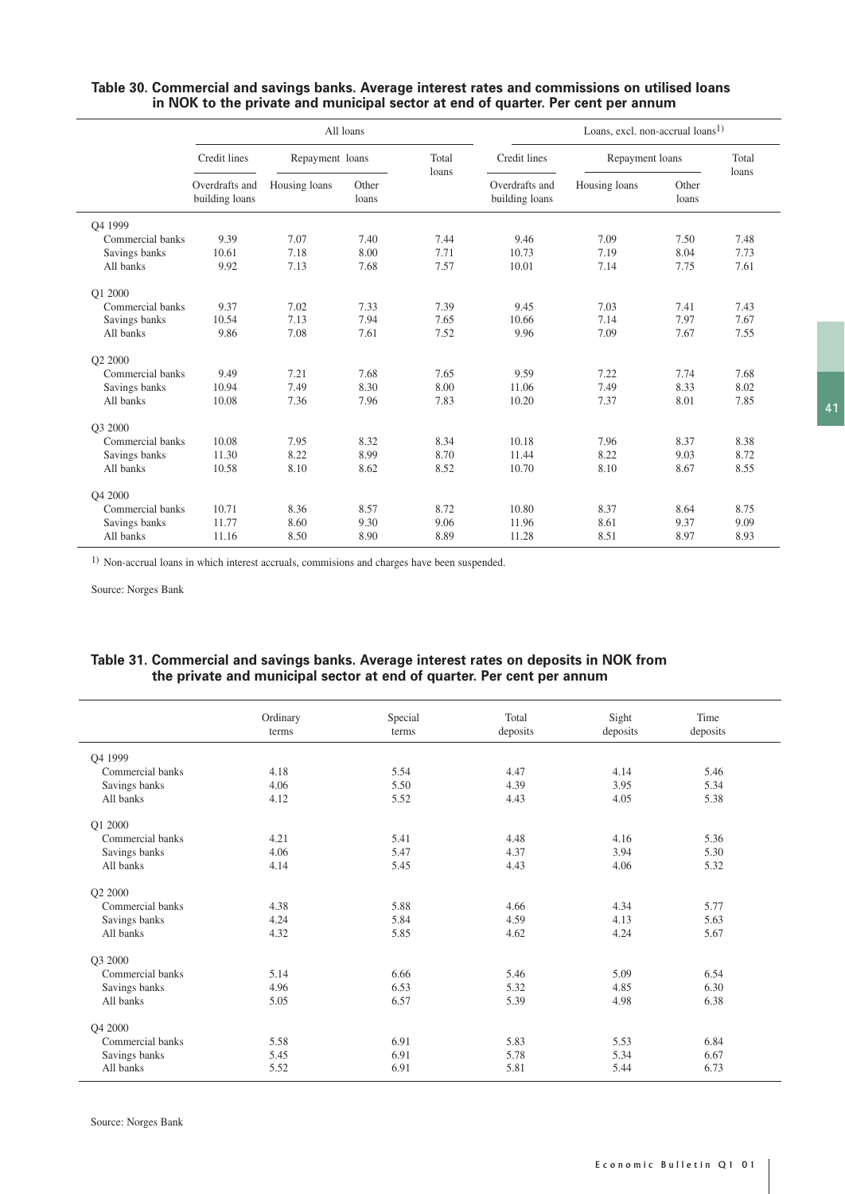|                     |                                  |                 | All loans      |                | Loans, excl. non-accrual loans <sup>1)</sup> |                 |                |                |  |
|---------------------|----------------------------------|-----------------|----------------|----------------|----------------------------------------------|-----------------|----------------|----------------|--|
|                     | Credit lines                     | Repayment loans |                | Total<br>loans | Credit lines                                 | Repayment loans |                | Total<br>loans |  |
|                     | Overdrafts and<br>building loans | Housing loans   | Other<br>loans |                | Overdrafts and<br>building loans             | Housing loans   | Other<br>loans |                |  |
| O <sub>4</sub> 1999 |                                  |                 |                |                |                                              |                 |                |                |  |
| Commercial banks    | 9.39                             | 7.07            | 7.40           | 7.44           | 9.46                                         | 7.09            | 7.50           | 7.48           |  |
| Savings banks       | 10.61                            | 7.18            | 8.00           | 7.71           | 10.73                                        | 7.19            | 8.04           | 7.73           |  |
| All banks           | 9.92                             | 7.13            | 7.68           | 7.57           | 10.01                                        | 7.14            | 7.75           | 7.61           |  |
| Q1 2000             |                                  |                 |                |                |                                              |                 |                |                |  |
| Commercial banks    | 9.37                             | 7.02            | 7.33           | 7.39           | 9.45                                         | 7.03            | 7.41           | 7.43           |  |
| Savings banks       | 10.54                            | 7.13            | 7.94           | 7.65           | 10.66                                        | 7.14            | 7.97           | 7.67           |  |
| All banks           | 9.86                             | 7.08            | 7.61           | 7.52           | 9.96                                         | 7.09            | 7.67           | 7.55           |  |
| Q2 2000             |                                  |                 |                |                |                                              |                 |                |                |  |
| Commercial banks    | 9.49                             | 7.21            | 7.68           | 7.65           | 9.59                                         | 7.22            | 7.74           | 7.68           |  |
| Savings banks       | 10.94                            | 7.49            | 8.30           | 8.00           | 11.06                                        | 7.49            | 8.33           | 8.02           |  |
| All banks           | 10.08                            | 7.36            | 7.96           | 7.83           | 10.20                                        | 7.37            | 8.01           | 7.85           |  |
| O3 2000             |                                  |                 |                |                |                                              |                 |                |                |  |
| Commercial banks    | 10.08                            | 7.95            | 8.32           | 8.34           | 10.18                                        | 7.96            | 8.37           | 8.38           |  |
| Savings banks       | 11.30                            | 8.22            | 8.99           | 8.70           | 11.44                                        | 8.22            | 9.03           | 8.72           |  |
| All banks           | 10.58                            | 8.10            | 8.62           | 8.52           | 10.70                                        | 8.10            | 8.67           | 8.55           |  |
| O <sub>4</sub> 2000 |                                  |                 |                |                |                                              |                 |                |                |  |
| Commercial banks    | 10.71                            | 8.36            | 8.57           | 8.72           | 10.80                                        | 8.37            | 8.64           | 8.75           |  |
| Savings banks       | 11.77                            | 8.60            | 9.30           | 9.06           | 11.96                                        | 8.61            | 9.37           | 9.09           |  |
| All banks           | 11.16                            | 8.50            | 8.90           | 8.89           | 11.28                                        | 8.51            | 8.97           | 8.93           |  |

# **Table 30. Commercial and savings banks. Average interest rates and commissions on utilised loans in NOK to the private and municipal sector at end of quarter. Per cent per annum**

1) Non-accrual loans in which interest accruals, commisions and charges have been suspended.

Source: Norges Bank

### **Table 31. Commercial and savings banks. Average interest rates on deposits in NOK from the private and municipal sector at end of quarter. Per cent per annum**

|                  | Ordinary | Special | Total    | Sight    | Time     |
|------------------|----------|---------|----------|----------|----------|
|                  | terms    | terms   | deposits | deposits | deposits |
|                  |          |         |          |          |          |
| Q4 1999          |          |         |          |          |          |
| Commercial banks | 4.18     | 5.54    | 4.47     | 4.14     | 5.46     |
| Savings banks    | 4.06     | 5.50    | 4.39     | 3.95     | 5.34     |
| All banks        | 4.12     | 5.52    | 4.43     | 4.05     | 5.38     |
| Q1 2000          |          |         |          |          |          |
| Commercial banks | 4.21     | 5.41    | 4.48     | 4.16     | 5.36     |
| Savings banks    | 4.06     | 5.47    | 4.37     | 3.94     | 5.30     |
| All banks        | 4.14     | 5.45    | 4.43     | 4.06     | 5.32     |
| Q2 2000          |          |         |          |          |          |
| Commercial banks | 4.38     | 5.88    | 4.66     | 4.34     | 5.77     |
| Savings banks    | 4.24     | 5.84    | 4.59     | 4.13     | 5.63     |
| All banks        | 4.32     | 5.85    | 4.62     | 4.24     | 5.67     |
| Q3 2000          |          |         |          |          |          |
| Commercial banks | 5.14     | 6.66    | 5.46     | 5.09     | 6.54     |
| Savings banks    | 4.96     | 6.53    | 5.32     | 4.85     | 6.30     |
| All banks        | 5.05     | 6.57    | 5.39     | 4.98     | 6.38     |
| Q4 2000          |          |         |          |          |          |
| Commercial banks | 5.58     | 6.91    | 5.83     | 5.53     | 6.84     |
| Savings banks    | 5.45     | 6.91    | 5.78     | 5.34     | 6.67     |
| All banks        | 5.52     | 6.91    | 5.81     | 5.44     | 6.73     |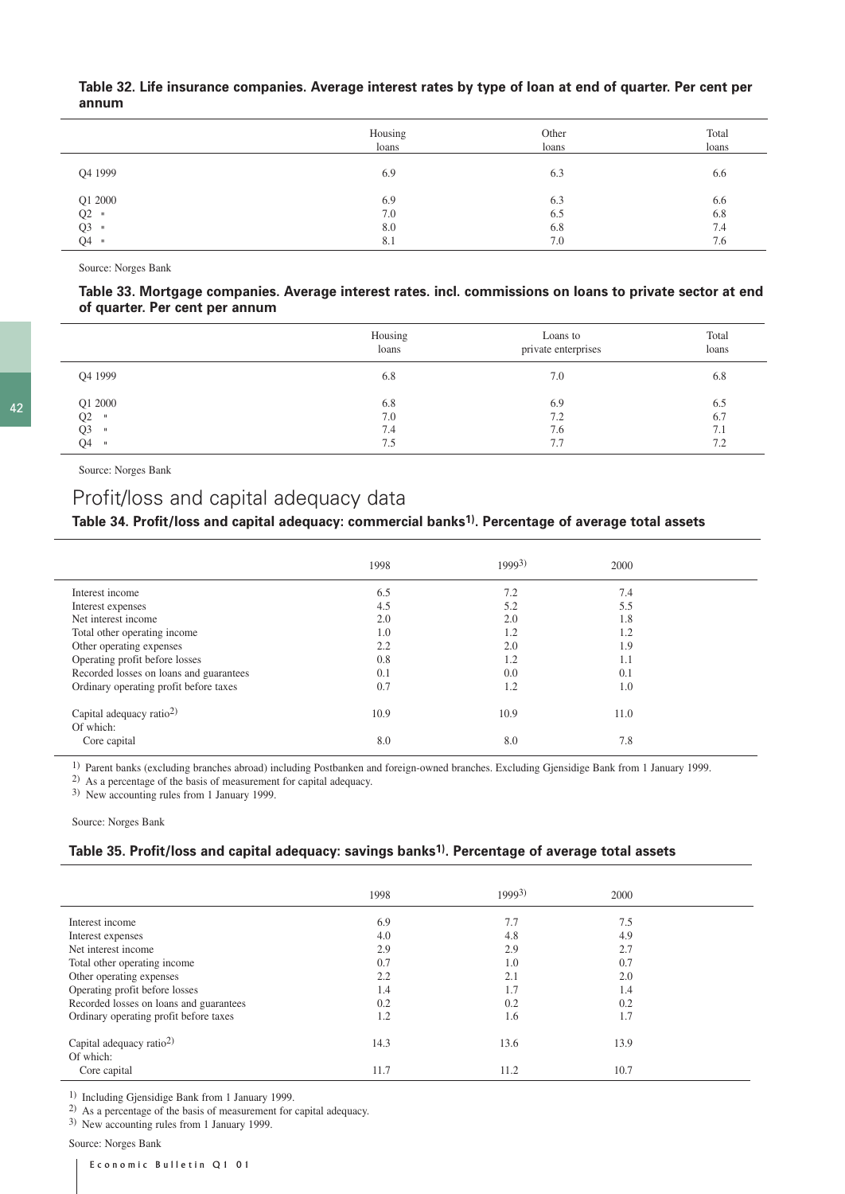|         | Housing<br>loans | Other<br>loans | Total<br>loans |
|---------|------------------|----------------|----------------|
| Q4 1999 | 6.9              | 6.3            | 6.6            |
| Q1 2000 | 6.9              | 6.3            | 6.6            |
| $Q2$ =  | 7.0              | 6.5            | 6.8            |
| $Q3$ "  | 8.0              | 6.8            | 7.4            |
| $Q4$ "  | 8.1              | 7.0            | 7.6            |

### **Table 32. Life insurance companies. Average interest rates by type of loan at end of quarter. Per cent per annum**

Source: Norges Bank

#### **Table 33. Mortgage companies. Average interest rates. incl. commissions on loans to private sector at end of quarter. Per cent per annum**

|                      | Housing<br>loans | Loans to<br>private enterprises | Total<br>loans |
|----------------------|------------------|---------------------------------|----------------|
| Q4 1999              | 6.8              | 7.0                             | 6.8            |
| Q1 2000              | 6.8              | 6.9                             | 6.5            |
| Q2<br>$\blacksquare$ | 7.0              | 7.2                             | 6.7            |
| Q3<br>$\blacksquare$ | 7.4              | 7.6                             | 7.1            |
| Q4<br>$\blacksquare$ | 7.5              | 7.7                             | 7.2            |

Source: Norges Bank

42

# Profit/loss and capital adequacy data

# **Table 34. Profit/loss and capital adequacy: commercial banks1). Percentage of average total assets**

|                                                   | 1998 | 19993) | 2000 |  |
|---------------------------------------------------|------|--------|------|--|
| Interest income                                   | 6.5  | 7.2    | 7.4  |  |
| Interest expenses                                 | 4.5  | 5.2    | 5.5  |  |
| Net interest income                               | 2.0  | 2.0    | 1.8  |  |
| Total other operating income                      | 1.0  | 1.2    | 1.2  |  |
| Other operating expenses                          | 2.2  | 2.0    | 1.9  |  |
| Operating profit before losses                    | 0.8  | 1.2    | 1.1  |  |
| Recorded losses on loans and guarantees           | 0.1  | 0.0    | 0.1  |  |
| Ordinary operating profit before taxes            | 0.7  | 1.2    | 1.0  |  |
| Capital adequacy ratio <sup>2)</sup><br>Of which: | 10.9 | 10.9   | 11.0 |  |
| Core capital                                      | 8.0  | 8.0    | 7.8  |  |

1) Parent banks (excluding branches abroad) including Postbanken and foreign-owned branches. Excluding Gjensidige Bank from 1 January 1999.

2) As a percentage of the basis of measurement for capital adequacy.

3) New accounting rules from 1 January 1999.

Source: Norges Bank

# **Table 35. Profit/loss and capital adequacy: savings banks1). Percentage of average total assets**

|                                                   | 1998 | 19993) | 2000 |  |
|---------------------------------------------------|------|--------|------|--|
| Interest income                                   | 6.9  | 7.7    | 7.5  |  |
| Interest expenses                                 | 4.0  | 4.8    | 4.9  |  |
| Net interest income                               | 2.9  | 2.9    | 2.7  |  |
| Total other operating income                      | 0.7  | 1.0    | 0.7  |  |
| Other operating expenses                          | 2.2  | 2.1    | 2.0  |  |
| Operating profit before losses                    | 1.4  | 1.7    | 1.4  |  |
| Recorded losses on loans and guarantees           | 0.2  | 0.2    | 0.2  |  |
| Ordinary operating profit before taxes            | 1.2  | 1.6    | 1.7  |  |
| Capital adequacy ratio <sup>2)</sup><br>Of which: | 14.3 | 13.6   | 13.9 |  |
| Core capital                                      | 11.7 | 11.2   | 10.7 |  |

1) Including Gjensidige Bank from 1 January 1999.

2) As a percentage of the basis of measurement for capital adequacy.

3) New accounting rules from 1 January 1999.

Source: Norges Bank

Economic Bulletin Q1 01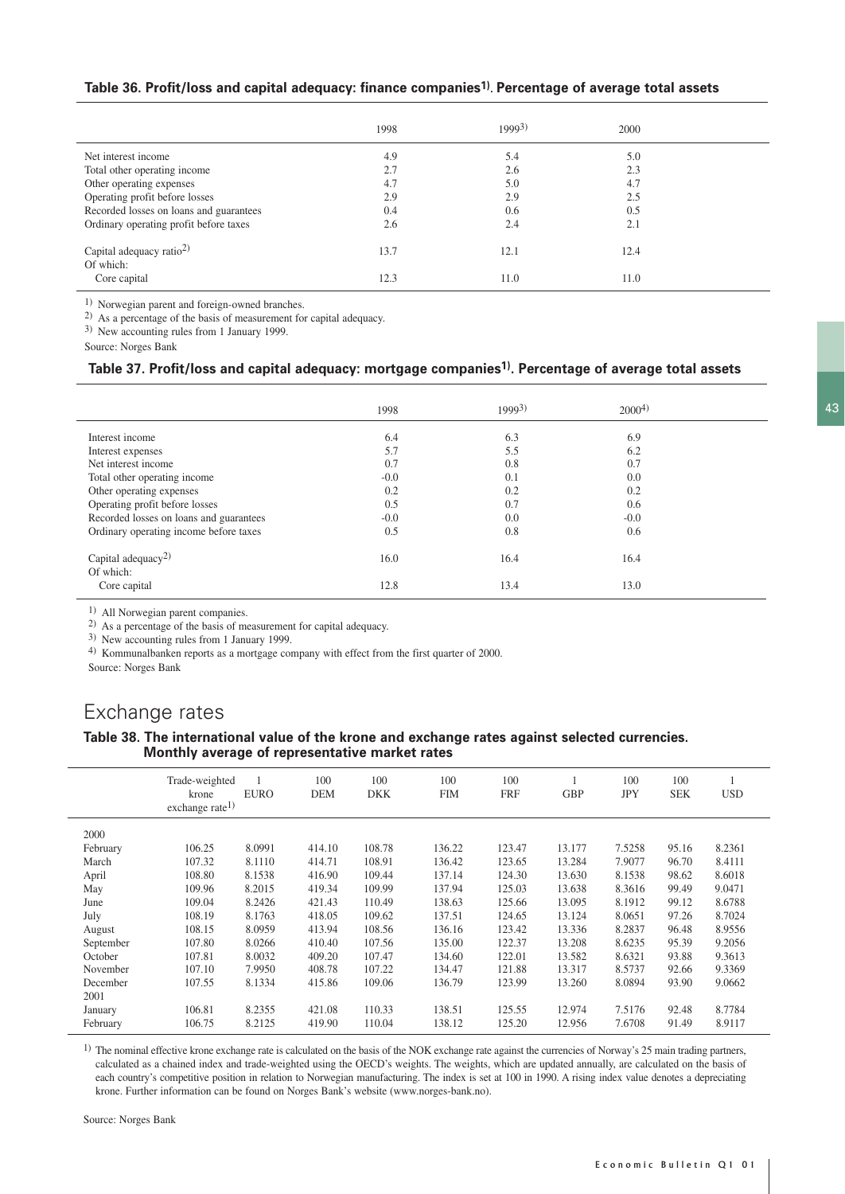## **Table 36. Profit/loss and capital adequacy: finance companies1). Percentage of average total assets**

|                                                   | 1998 | $1999^{3}$ | 2000 |  |
|---------------------------------------------------|------|------------|------|--|
| Net interest income                               | 4.9  | 5.4        | 5.0  |  |
| Total other operating income                      | 2.7  | 2.6        | 2.3  |  |
| Other operating expenses                          | 4.7  | 5.0        | 4.7  |  |
| Operating profit before losses                    | 2.9  | 2.9        | 2.5  |  |
| Recorded losses on loans and guarantees           | 0.4  | 0.6        | 0.5  |  |
| Ordinary operating profit before taxes            | 2.6  | 2.4        | 2.1  |  |
| Capital adequacy ratio <sup>2)</sup><br>Of which: | 13.7 | 12.1       | 12.4 |  |
| Core capital                                      | 12.3 | 11.0       | 11.0 |  |

1) Norwegian parent and foreign-owned branches.

2) As a percentage of the basis of measurement for capital adequacy.

3) New accounting rules from 1 January 1999.

Source: Norges Bank

## **Table 37. Profit/loss and capital adequacy: mortgage companies1). Percentage of average total assets**

|                                             | 1998   | 19993) | 2000 <sup>4</sup> |  |
|---------------------------------------------|--------|--------|-------------------|--|
| Interest income                             | 6.4    | 6.3    | 6.9               |  |
| Interest expenses                           | 5.7    | 5.5    | 6.2               |  |
| Net interest income                         | 0.7    | 0.8    | 0.7               |  |
| Total other operating income                | $-0.0$ | 0.1    | 0.0               |  |
| Other operating expenses                    | 0.2    | 0.2    | 0.2               |  |
| Operating profit before losses              | 0.5    | 0.7    | 0.6               |  |
| Recorded losses on loans and guarantees     | $-0.0$ | 0.0    | $-0.0$            |  |
| Ordinary operating income before taxes      | 0.5    | 0.8    | 0.6               |  |
| Capital adequacy <sup>2)</sup><br>Of which: | 16.0   | 16.4   | 16.4              |  |
| Core capital                                | 12.8   | 13.4   | 13.0              |  |

1) All Norwegian parent companies.

2) As a percentage of the basis of measurement for capital adequacy.

3) New accounting rules from 1 January 1999.

4) Kommunalbanken reports as a mortgage company with effect from the first quarter of 2000.

Source: Norges Bank

# Exchange rates

#### **Table 38. The international value of the krone and exchange rates against selected currencies. Monthly average of representative market rates**

|           | Trade-weighted<br>krone<br>exchange rate <sup>1)</sup> | <b>EURO</b> | 100<br><b>DEM</b> | 100<br>DKK | 100<br><b>FIM</b> | 100<br><b>FRF</b> | <b>GBP</b> | 100<br><b>JPY</b> | 100<br><b>SEK</b> | <b>USD</b> |
|-----------|--------------------------------------------------------|-------------|-------------------|------------|-------------------|-------------------|------------|-------------------|-------------------|------------|
|           |                                                        |             |                   |            |                   |                   |            |                   |                   |            |
| 2000      |                                                        |             |                   |            |                   |                   |            |                   |                   |            |
| February  | 106.25                                                 | 8.0991      | 414.10            | 108.78     | 136.22            | 123.47            | 13.177     | 7.5258            | 95.16             | 8.2361     |
| March     | 107.32                                                 | 8.1110      | 414.71            | 108.91     | 136.42            | 123.65            | 13.284     | 7.9077            | 96.70             | 8.4111     |
| April     | 108.80                                                 | 8.1538      | 416.90            | 109.44     | 137.14            | 124.30            | 13.630     | 8.1538            | 98.62             | 8.6018     |
| May       | 109.96                                                 | 8.2015      | 419.34            | 109.99     | 137.94            | 125.03            | 13.638     | 8.3616            | 99.49             | 9.0471     |
| June      | 109.04                                                 | 8.2426      | 421.43            | 110.49     | 138.63            | 125.66            | 13.095     | 8.1912            | 99.12             | 8.6788     |
| July      | 108.19                                                 | 8.1763      | 418.05            | 109.62     | 137.51            | 124.65            | 13.124     | 8.0651            | 97.26             | 8.7024     |
| August    | 108.15                                                 | 8.0959      | 413.94            | 108.56     | 136.16            | 123.42            | 13.336     | 8.2837            | 96.48             | 8.9556     |
| September | 107.80                                                 | 8.0266      | 410.40            | 107.56     | 135.00            | 122.37            | 13.208     | 8.6235            | 95.39             | 9.2056     |
| October   | 107.81                                                 | 8.0032      | 409.20            | 107.47     | 134.60            | 122.01            | 13.582     | 8.6321            | 93.88             | 9.3613     |
| November  | 107.10                                                 | 7.9950      | 408.78            | 107.22     | 134.47            | 121.88            | 13.317     | 8.5737            | 92.66             | 9.3369     |
| December  | 107.55                                                 | 8.1334      | 415.86            | 109.06     | 136.79            | 123.99            | 13.260     | 8.0894            | 93.90             | 9.0662     |
| 2001      |                                                        |             |                   |            |                   |                   |            |                   |                   |            |
| January   | 106.81                                                 | 8.2355      | 421.08            | 110.33     | 138.51            | 125.55            | 12.974     | 7.5176            | 92.48             | 8.7784     |
| February  | 106.75                                                 | 8.2125      | 419.90            | 110.04     | 138.12            | 125.20            | 12.956     | 7.6708            | 91.49             | 8.9117     |

 $1)$  The nominal effective krone exchange rate is calculated on the basis of the NOK exchange rate against the currencies of Norway's 25 main trading partners, calculated as a chained index and trade-weighted using the OECD's weights. The weights, which are updated annually, are calculated on the basis of each country's competitive position in relation to Norwegian manufacturing. The index is set at 100 in 1990. A rising index value denotes a depreciating krone. Further information can be found on Norges Bank's website (www.norges-bank.no).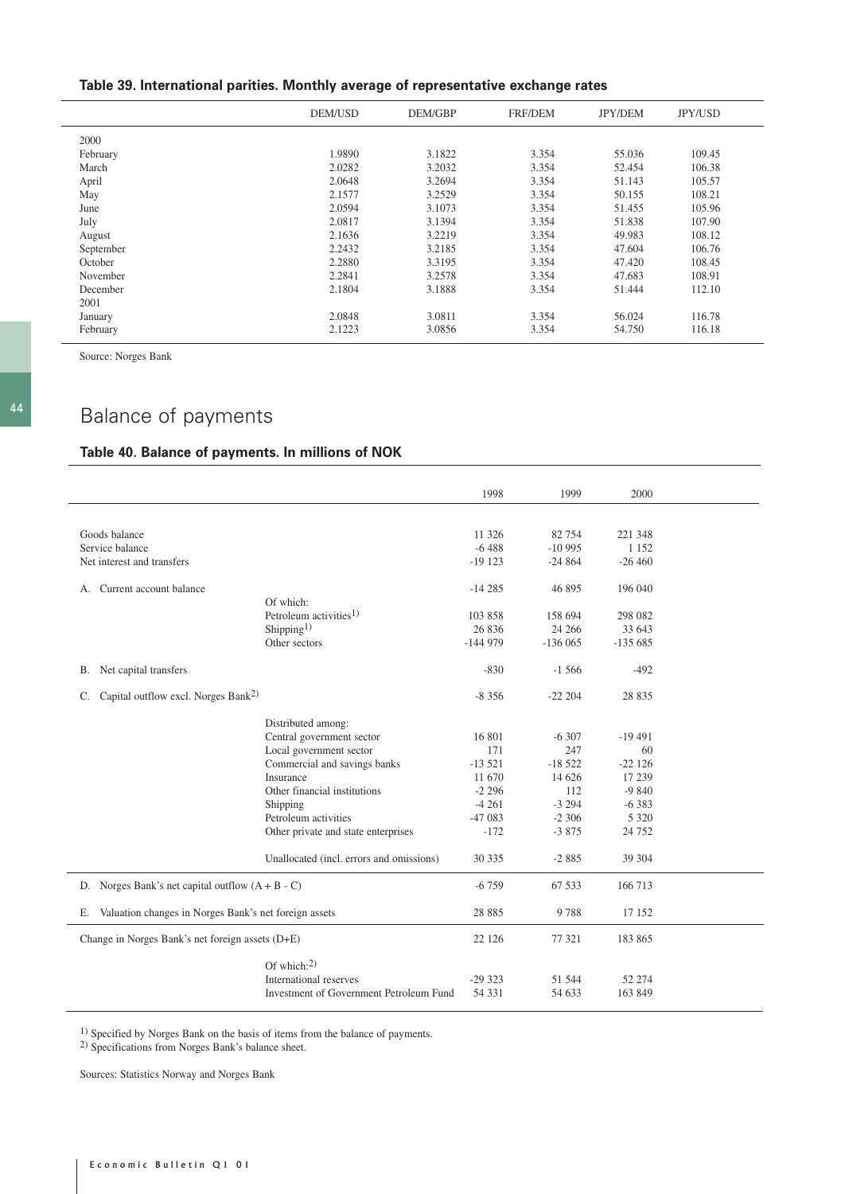# **Table 39. International parities. Monthly average of representative exchange rates**

|           | DEM/USD | DEM/GBP | <b>FRF/DEM</b> | <b>JPY/DEM</b> | JPY/USD |
|-----------|---------|---------|----------------|----------------|---------|
| 2000      |         |         |                |                |         |
| February  | 1.9890  | 3.1822  | 3.354          | 55.036         | 109.45  |
| March     | 2.0282  | 3.2032  | 3.354          | 52.454         | 106.38  |
| April     | 2.0648  | 3.2694  | 3.354          | 51.143         | 105.57  |
| May       | 2.1577  | 3.2529  | 3.354          | 50.155         | 108.21  |
| June      | 2.0594  | 3.1073  | 3.354          | 51.455         | 105.96  |
| July      | 2.0817  | 3.1394  | 3.354          | 51.838         | 107.90  |
| August    | 2.1636  | 3.2219  | 3.354          | 49.983         | 108.12  |
| September | 2.2432  | 3.2185  | 3.354          | 47.604         | 106.76  |
| October   | 2.2880  | 3.3195  | 3.354          | 47.420         | 108.45  |
| November  | 2.2841  | 3.2578  | 3.354          | 47.683         | 108.91  |
| December  | 2.1804  | 3.1888  | 3.354          | 51.444         | 112.10  |
| 2001      |         |         |                |                |         |
| January   | 2.0848  | 3.0811  | 3.354          | 56.024         | 116.78  |
| February  | 2.1223  | 3.0856  | 3.354          | 54.750         | 116.18  |

Source: Norges Bank

# Balance of payments

# **Table 40. Balance of payments. In millions of NOK**

|                                                          |                                          | 1998      | 1999      | 2000      |  |
|----------------------------------------------------------|------------------------------------------|-----------|-----------|-----------|--|
|                                                          |                                          |           |           |           |  |
| Goods balance                                            |                                          | 11 326    | 82 754    | 221 348   |  |
| Service balance                                          |                                          | $-6488$   | $-10995$  | 1 1 5 2   |  |
| Net interest and transfers                               |                                          | $-19123$  | $-24864$  | $-26460$  |  |
|                                                          |                                          |           |           |           |  |
| Current account balance<br>А.                            |                                          | $-14285$  | 46 895    | 196 040   |  |
|                                                          | Of which:                                |           |           |           |  |
|                                                          | Petroleum activities <sup>1)</sup>       | 103 858   | 158 694   | 298 082   |  |
|                                                          | Shipping <sup>1)</sup>                   | 26 836    | 24 26 6   | 33 643    |  |
|                                                          | Other sectors                            | $-144979$ | $-136065$ | $-135685$ |  |
| Net capital transfers<br>В.                              |                                          | $-830$    | $-1,566$  | $-492$    |  |
| Capital outflow excl. Norges Bank <sup>2)</sup><br>C.    |                                          | $-8356$   | $-22204$  | 28 8 35   |  |
|                                                          | Distributed among:                       |           |           |           |  |
|                                                          | Central government sector                | 16 801    | $-6307$   | $-19491$  |  |
|                                                          | Local government sector                  | 171       | 247       | 60        |  |
|                                                          | Commercial and savings banks             | $-13521$  | $-18522$  | $-22126$  |  |
|                                                          | Insurance                                | 11 670    | 14 626    | 17 239    |  |
|                                                          | Other financial institutions             | $-2296$   | 112       | $-9840$   |  |
|                                                          |                                          |           |           |           |  |
|                                                          | Shipping<br>Petroleum activities         | $-4261$   | $-3294$   | $-6383$   |  |
|                                                          |                                          | $-47083$  | $-2306$   | 5 3 2 0   |  |
|                                                          | Other private and state enterprises      | $-172$    | $-3875$   | 24 7 5 2  |  |
|                                                          | Unallocated (incl. errors and omissions) | 30 335    | $-2885$   | 39 304    |  |
| D. Norges Bank's net capital outflow $(A + B - C)$       |                                          | $-6759$   | 67 533    | 166 713   |  |
| E. Valuation changes in Norges Bank's net foreign assets |                                          | 28 8 8 5  | 9788      | 17 152    |  |
| Change in Norges Bank's net foreign assets (D+E)         |                                          | 22 1 26   | 77 321    | 183 865   |  |
|                                                          | Of which: $^{2)}$                        |           |           |           |  |
|                                                          | International reserves                   | $-29323$  | 51 544    | 52 274    |  |
|                                                          | Investment of Government Petroleum Fund  | 54 3 31   |           | 163 849   |  |
|                                                          |                                          |           | 54 633    |           |  |

1) Specified by Norges Bank on the basis of items from the balance of payments.

2) Specifications from Norges Bank's balance sheet.

Sources: Statistics Norway and Norges Bank

 $\overline{a}$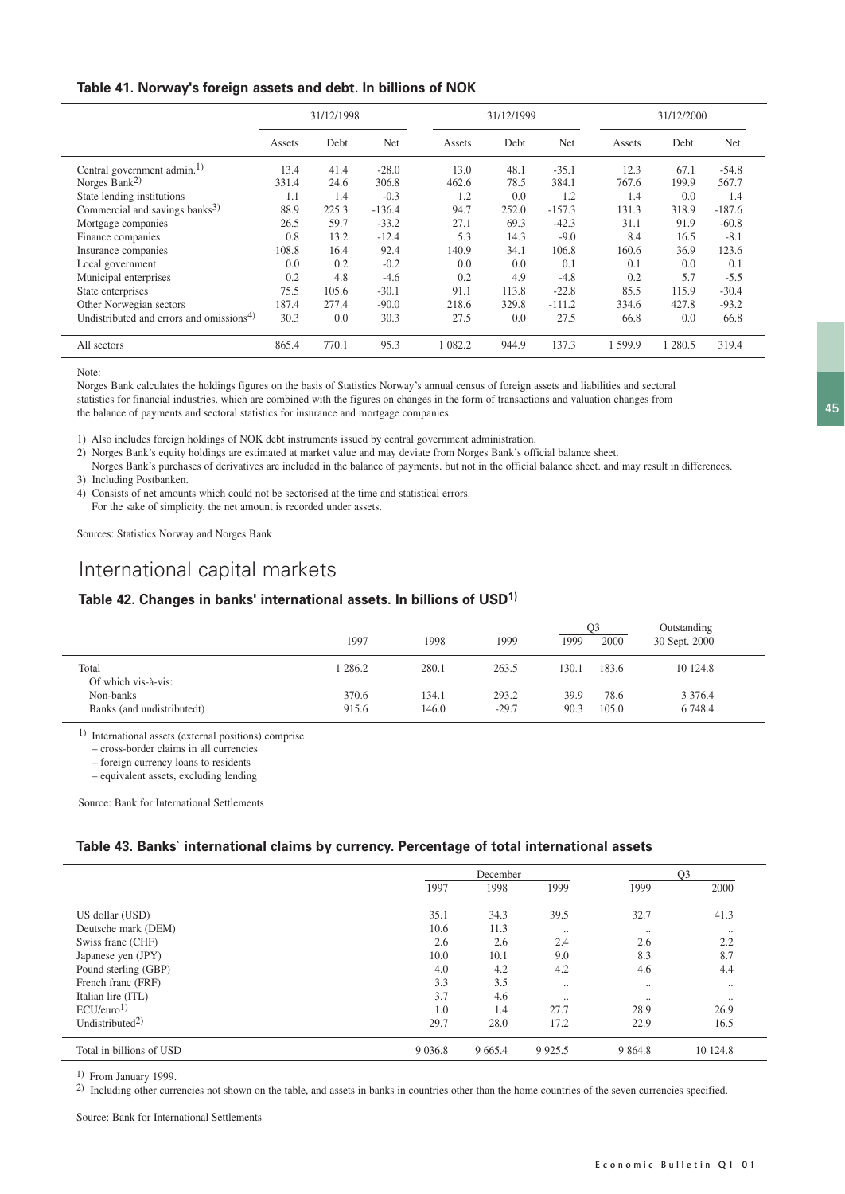### **Table 41. Norway's foreign assets and debt. In billions of NOK**

|                                                      | 31/12/1998 |       |          | 31/12/1999 |       |            | 31/12/2000 |         |          |
|------------------------------------------------------|------------|-------|----------|------------|-------|------------|------------|---------|----------|
|                                                      | Assets     | Debt  | Net      | Assets     | Debt  | <b>Net</b> | Assets     | Debt    | Net      |
| Central government admin. <sup>1)</sup>              | 13.4       | 41.4  | $-28.0$  | 13.0       | 48.1  | $-35.1$    | 12.3       | 67.1    | $-54.8$  |
| Norges Bank <sup>2)</sup>                            | 331.4      | 24.6  | 306.8    | 462.6      | 78.5  | 384.1      | 767.6      | 199.9   | 567.7    |
| State lending institutions                           | 1.1        | 1.4   | $-0.3$   | 1.2        | 0.0   | 1.2        | 1.4        | 0.0     | 1.4      |
| Commercial and savings banks <sup>3)</sup>           | 88.9       | 225.3 | $-136.4$ | 94.7       | 252.0 | $-157.3$   | 131.3      | 318.9   | $-187.6$ |
| Mortgage companies                                   | 26.5       | 59.7  | $-33.2$  | 27.1       | 69.3  | $-42.3$    | 31.1       | 91.9    | $-60.8$  |
| Finance companies                                    | 0.8        | 13.2  | $-12.4$  | 5.3        | 14.3  | $-9.0$     | 8.4        | 16.5    | $-8.1$   |
| Insurance companies                                  | 108.8      | 16.4  | 92.4     | 140.9      | 34.1  | 106.8      | 160.6      | 36.9    | 123.6    |
| Local government                                     | 0.0        | 0.2   | $-0.2$   | 0.0        | 0.0   | 0.1        | 0.1        | 0.0     | 0.1      |
| Municipal enterprises                                | 0.2        | 4.8   | $-4.6$   | 0.2        | 4.9   | $-4.8$     | 0.2        | 5.7     | $-5.5$   |
| State enterprises                                    | 75.5       | 105.6 | $-30.1$  | 91.1       | 113.8 | $-22.8$    | 85.5       | 115.9   | $-30.4$  |
| Other Norwegian sectors                              | 187.4      | 277.4 | $-90.0$  | 218.6      | 329.8 | $-111.2$   | 334.6      | 427.8   | $-93.2$  |
| Undistributed and errors and omissions <sup>4)</sup> | 30.3       | 0.0   | 30.3     | 27.5       | 0.0   | 27.5       | 66.8       | 0.0     | 66.8     |
| All sectors                                          | 865.4      | 770.1 | 95.3     | 082.2      | 944.9 | 137.3      | 599.9      | 1 280.5 | 319.4    |

Note:

Norges Bank calculates the holdings figures on the basis of Statistics Norway's annual census of foreign assets and liabilities and sectoral statistics for financial industries. which are combined with the figures on changes in the form of transactions and valuation changes from the balance of payments and sectoral statistics for insurance and mortgage companies.

1) Also includes foreign holdings of NOK debt instruments issued by central government administration.

2) Norges Bank's equity holdings are estimated at market value and may deviate from Norges Bank's official balance sheet.

Norges Bank's purchases of derivatives are included in the balance of payments. but not in the official balance sheet. and may result in differences. 3) Including Postbanken.

4) Consists of net amounts which could not be sectorised at the time and statistical errors.

For the sake of simplicity. the net amount is recorded under assets.

Sources: Statistics Norway and Norges Bank

# International capital markets

### **Table 42. Changes in banks' international assets. In billions of USD1)**

|                              | 1997    | 1998  | 1999    | 1999  | O3<br>2000 | Outstanding<br>30 Sept. 2000 |  |
|------------------------------|---------|-------|---------|-------|------------|------------------------------|--|
| Total<br>Of which vis-à-vis: | 1 286.2 | 280.1 | 263.5   | 130.1 | 183.6      | 10 124.8                     |  |
| Non-banks                    | 370.6   | 134.1 | 293.2   | 39.9  | 78.6       | 3 3 7 6 .4                   |  |
| Banks (and undistributedt)   | 915.6   | 146.0 | $-29.7$ | 90.3  | 105.0      | 6 748.4                      |  |

1) International assets (external positions) comprise

– cross-border claims in all currencies

– foreign currency loans to residents

– equivalent assets, excluding lending

Source: Bank for International Settlements

### **Table 43. Banks` international claims by currency. Percentage of total international assets**

|                             | December  |           |            |           | O <sub>3</sub> |  |  |
|-----------------------------|-----------|-----------|------------|-----------|----------------|--|--|
|                             | 1997      | 1998      | 1999       | 1999      | 2000           |  |  |
| US dollar (USD)             | 35.1      | 34.3      | 39.5       | 32.7      | 41.3           |  |  |
| Deutsche mark (DEM)         | 10.6      | 11.3      | $\ddotsc$  | $\ldots$  | $\cdot \cdot$  |  |  |
| Swiss franc (CHF)           | 2.6       | 2.6       | 2.4        | 2.6       | 2.2            |  |  |
| Japanese yen (JPY)          | 10.0      | 10.1      | 9.0        | 8.3       | 8.7            |  |  |
| Pound sterling (GBP)        | 4.0       | 4.2       | 4.2        | 4.6       | 4.4            |  |  |
| French franc (FRF)          | 3.3       | 3.5       | $\ddotsc$  | $\ddotsc$ | $\cdot \cdot$  |  |  |
| Italian lire (ITL)          | 3.7       | 4.6       | $\ddotsc$  | $\ddotsc$ | $\cdot \cdot$  |  |  |
| ECU/euro <sup>1</sup>       | 1.0       | 1.4       | 27.7       | 28.9      | 26.9           |  |  |
| Undistributed <sup>2)</sup> | 29.7      | 28.0      | 17.2       | 22.9      | 16.5           |  |  |
| Total in billions of USD    | 9 0 3 6.8 | 9 6 6 5.4 | 9 9 2 5 .5 | 9 8 6 4.8 | 10 124.8       |  |  |

1) From January 1999.

<sup>2)</sup> Including other currencies not shown on the table, and assets in banks in countries other than the home countries of the seven currencies specified.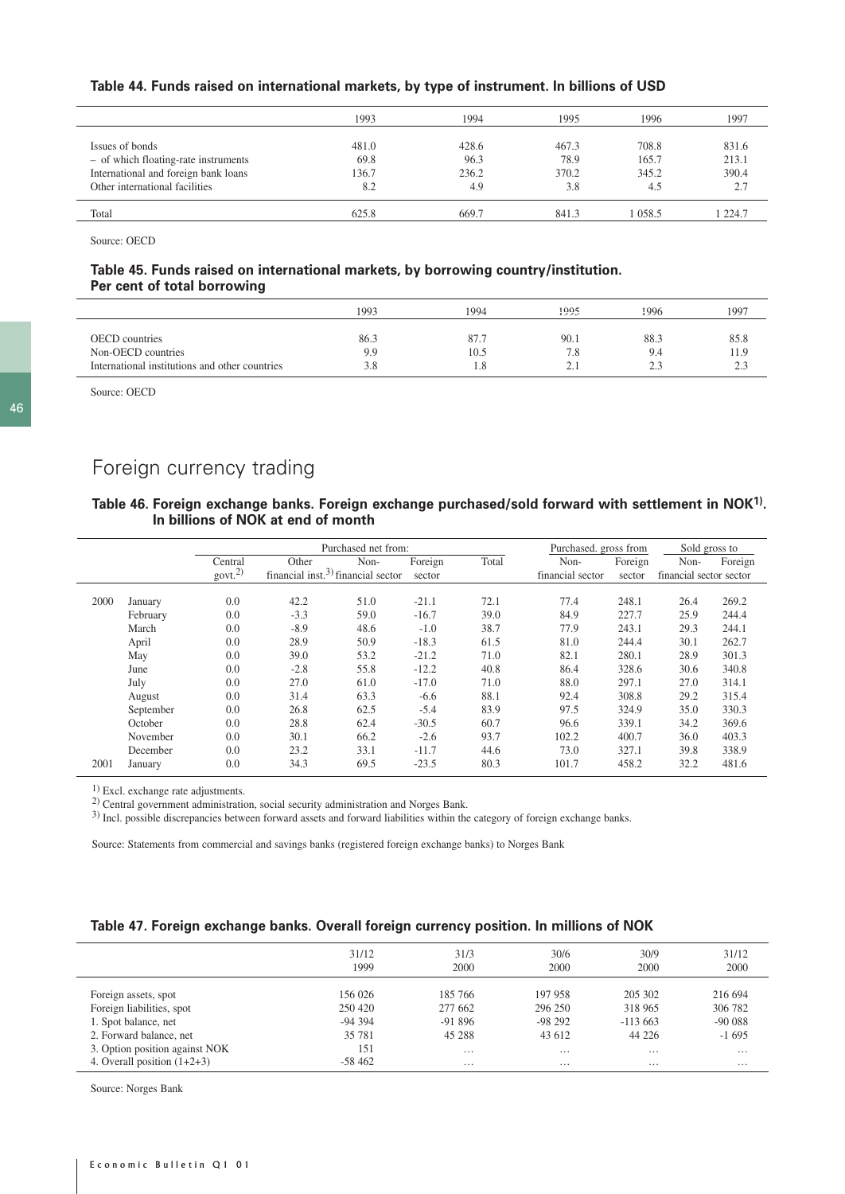#### **Table 44. Funds raised on international markets, by type of instrument. In billions of USD**

|                                      | 1993  | 1994  | 1995  | 1996  | 1997  |
|--------------------------------------|-------|-------|-------|-------|-------|
|                                      |       |       |       |       |       |
| Issues of bonds                      | 481.0 | 428.6 | 467.3 | 708.8 | 831.6 |
| - of which floating-rate instruments | 69.8  | 96.3  | 78.9  | 165.7 | 213.1 |
| International and foreign bank loans | 136.7 | 236.2 | 370.2 | 345.2 | 390.4 |
| Other international facilities       | 8.2   | 4.9   | 3.8   | 4.5   | 2.7   |
|                                      |       |       |       |       |       |
| Total                                | 625.8 | 669.7 | 841.3 | 058.5 | 224.7 |
|                                      |       |       |       |       |       |

Source: OECD

### **Table 45. Funds raised on international markets, by borrowing country/institution. Per cent of total borrowing**

|                                                | 1993 | 1994 | 1995       | 1996 | 1997 |
|------------------------------------------------|------|------|------------|------|------|
|                                                |      |      |            |      |      |
| <b>OECD</b> countries                          | 86.3 | 87.7 | 90.1       | 88.3 | 85.8 |
| Non-OECD countries                             | 9.9  | 10.5 | 7.8        | 9.4  | 11.9 |
| International institutions and other countries | 3.8  | 1.8  | <u>، ،</u> | 2.3  | 2.3  |

Source: OECD

# Foreign currency trading

## **Table 46. Foreign exchange banks. Foreign exchange purchased/sold forward with settlement in NOK1). In billions of NOK at end of month**

|      |           | Purchased net from:    |        |                                                |         |       | Purchased. gross from | Sold gross to |      |                         |  |
|------|-----------|------------------------|--------|------------------------------------------------|---------|-------|-----------------------|---------------|------|-------------------------|--|
|      |           | Central                | Other  | Non-                                           | Foreign | Total | Non-                  | Foreign       | Non- | Foreign                 |  |
|      |           | $g$ ovt. <sup>2)</sup> |        | financial inst. <sup>3)</sup> financial sector |         |       | financial sector      | sector        |      | financial sector sector |  |
|      |           |                        |        |                                                |         |       |                       |               |      |                         |  |
| 2000 | January   | 0.0                    | 42.2   | 51.0                                           | $-21.1$ | 72.1  | 77.4                  | 248.1         | 26.4 | 269.2                   |  |
|      | February  | 0.0                    | $-3.3$ | 59.0                                           | $-16.7$ | 39.0  | 84.9                  | 227.7         | 25.9 | 244.4                   |  |
|      | March     | 0.0                    | $-8.9$ | 48.6                                           | $-1.0$  | 38.7  | 77.9                  | 243.1         | 29.3 | 244.1                   |  |
|      | April     | 0.0                    | 28.9   | 50.9                                           | $-18.3$ | 61.5  | 81.0                  | 244.4         | 30.1 | 262.7                   |  |
|      | May       | 0.0                    | 39.0   | 53.2                                           | $-21.2$ | 71.0  | 82.1                  | 280.1         | 28.9 | 301.3                   |  |
|      | June      | 0.0                    | $-2.8$ | 55.8                                           | $-12.2$ | 40.8  | 86.4                  | 328.6         | 30.6 | 340.8                   |  |
|      | July      | 0.0                    | 27.0   | 61.0                                           | $-17.0$ | 71.0  | 88.0                  | 297.1         | 27.0 | 314.1                   |  |
|      | August    | 0.0                    | 31.4   | 63.3                                           | $-6.6$  | 88.1  | 92.4                  | 308.8         | 29.2 | 315.4                   |  |
|      | September | 0.0                    | 26.8   | 62.5                                           | $-5.4$  | 83.9  | 97.5                  | 324.9         | 35.0 | 330.3                   |  |
|      | October   | 0.0                    | 28.8   | 62.4                                           | $-30.5$ | 60.7  | 96.6                  | 339.1         | 34.2 | 369.6                   |  |
|      | November  | 0.0                    | 30.1   | 66.2                                           | $-2.6$  | 93.7  | 102.2                 | 400.7         | 36.0 | 403.3                   |  |
|      | December  | 0.0                    | 23.2   | 33.1                                           | $-11.7$ | 44.6  | 73.0                  | 327.1         | 39.8 | 338.9                   |  |
| 2001 | January   | 0.0                    | 34.3   | 69.5                                           | $-23.5$ | 80.3  | 101.7                 | 458.2         | 32.2 | 481.6                   |  |

1) Excl. exchange rate adjustments.

2) Central government administration, social security administration and Norges Bank.

3) Incl. possible discrepancies between forward assets and forward liabilities within the category of foreign exchange banks.

Source: Statements from commercial and savings banks (registered foreign exchange banks) to Norges Bank

# **Table 47. Foreign exchange banks. Overall foreign currency position. In millions of NOK**

|                                | 31/12    | 31/3     | 30/6     | 30/9      | 31/12    |
|--------------------------------|----------|----------|----------|-----------|----------|
|                                | 1999     | 2000     | 2000     | 2000      | 2000     |
| Foreign assets, spot           | 156 026  | 185 766  | 197 958  | 205 302   | 216 694  |
| Foreign liabilities, spot      | 250 420  | 277 662  | 296 250  | 318 965   | 306 782  |
| 1. Spot balance, net           | $-94394$ | $-91896$ | $-98292$ | $-113663$ | $-90088$ |
| 2. Forward balance, net        | 35 781   | 45 288   | 43 612   | 44 226    | $-1695$  |
| 3. Option position against NOK | 151      | $\cdots$ | $\cdots$ | $\cdots$  | $\cdots$ |
| 4. Overall position $(1+2+3)$  | $-58462$ | $\cdots$ | $\cdots$ | $\cdots$  | $\cdots$ |